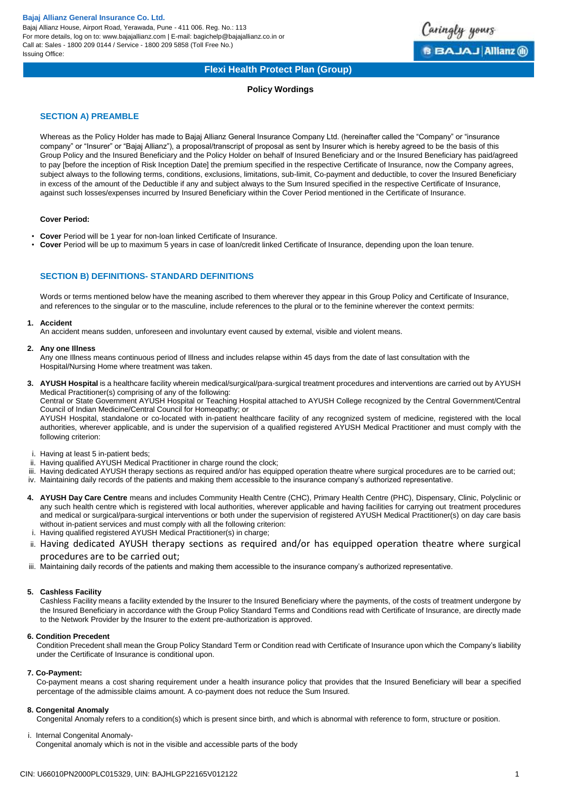Bajaj Allianz House, Airport Road, Yerawada, Pune - 411 006. Reg. No.: 113 For more details, log on to: www.bajajallianz.com | E-mail: bagichelp@bajajallianz.co.in or Call at: Sales - 1800 209 0144 / Service - 1800 209 5858 (Toll Free No.) Issuing Office:



# **Flexi Health Protect Plan (Group)**

# **Policy Wordings**

# **SECTION A) PREAMBLE**

Whereas as the Policy Holder has made to Bajaj Allianz General Insurance Company Ltd. (hereinafter called the "Company" or "insurance company" or "Insurer" or "Bajaj Allianz"), a proposal/transcript of proposal as sent by Insurer which is hereby agreed to be the basis of this Group Policy and the Insured Beneficiary and the Policy Holder on behalf of Insured Beneficiary and or the Insured Beneficiary has paid/agreed to pay [before the inception of Risk Inception Date] the premium specified in the respective Certificate of Insurance, now the Company agrees, subject always to the following terms, conditions, exclusions, limitations, sub-limit, Co-payment and deductible, to cover the Insured Beneficiary in excess of the amount of the Deductible if any and subject always to the Sum Insured specified in the respective Certificate of Insurance, against such losses/expenses incurred by Insured Beneficiary within the Cover Period mentioned in the Certificate of Insurance.

# **Cover Period:**

- **Cover** Period will be 1 year for non-loan linked Certificate of Insurance.
- **Cover** Period will be up to maximum 5 years in case of loan/credit linked Certificate of Insurance, depending upon the loan tenure.

# **SECTION B) DEFINITIONS- STANDARD DEFINITIONS**

Words or terms mentioned below have the meaning ascribed to them wherever they appear in this Group Policy and Certificate of Insurance, and references to the singular or to the masculine, include references to the plural or to the feminine wherever the context permits:

# **1. Accident**

An accident means sudden, unforeseen and involuntary event caused by external, visible and violent means.

### **2. Any one Illness**

Any one Illness means continuous period of Illness and includes relapse within 45 days from the date of last consultation with the Hospital/Nursing Home where treatment was taken.

**3. AYUSH Hospital** is a healthcare facility wherein medical/surgical/para-surgical treatment procedures and interventions are carried out by AYUSH Medical Practitioner(s) comprising of any of the following:

Central or State Government AYUSH Hospital or Teaching Hospital attached to AYUSH College recognized by the Central Government/Central Council of Indian Medicine/Central Council for Homeopathy; or

AYUSH Hospital, standalone or co-located with in-patient healthcare facility of any recognized system of medicine, registered with the local authorities, wherever applicable, and is under the supervision of a qualified registered AYUSH Medical Practitioner and must comply with the following criterion:

- i. Having at least 5 in-patient beds;
- ii. Having qualified AYUSH Medical Practitioner in charge round the clock;
- iii. Having dedicated AYUSH therapy sections as required and/or has equipped operation theatre where surgical procedures are to be carried out;
- iv. Maintaining daily records of the patients and making them accessible to the insurance company's authorized representative.
- **4. AYUSH Day Care Centre** means and includes Community Health Centre (CHC), Primary Health Centre (PHC), Dispensary, Clinic, Polyclinic or any such health centre which is registered with local authorities, wherever applicable and having facilities for carrying out treatment procedures and medical or surgical/para-surgical interventions or both under the supervision of registered AYUSH Medical Practitioner(s) on day care basis without in-patient services and must comply with all the following criterion:
- i. Having qualified registered AYUSH Medical Practitioner(s) in charge;
- ii. Having dedicated AYUSH therapy sections as required and/or has equipped operation theatre where surgical procedures are to be carried out;
- iii. Maintaining daily records of the patients and making them accessible to the insurance company's authorized representative.

# **5. Cashless Facility**

Cashless Facility means a facility extended by the Insurer to the Insured Beneficiary where the payments, of the costs of treatment undergone by the Insured Beneficiary in accordance with the Group Policy Standard Terms and Conditions read with Certificate of Insurance, are directly made to the Network Provider by the Insurer to the extent pre-authorization is approved.

# **6. Condition Precedent**

Condition Precedent shall mean the Group Policy Standard Term or Condition read with Certificate of Insurance upon which the Company's liability under the Certificate of Insurance is conditional upon.

# **7. Co-Payment:**

Co-payment means a cost sharing requirement under a health insurance policy that provides that the Insured Beneficiary will bear a specified percentage of the admissible claims amount. A co-payment does not reduce the Sum Insured.

# **8. Congenital Anomaly**

Congenital Anomaly refers to a condition(s) which is present since birth, and which is abnormal with reference to form, structure or position.

i. Internal Congenital Anomaly-

Congenital anomaly which is not in the visible and accessible parts of the body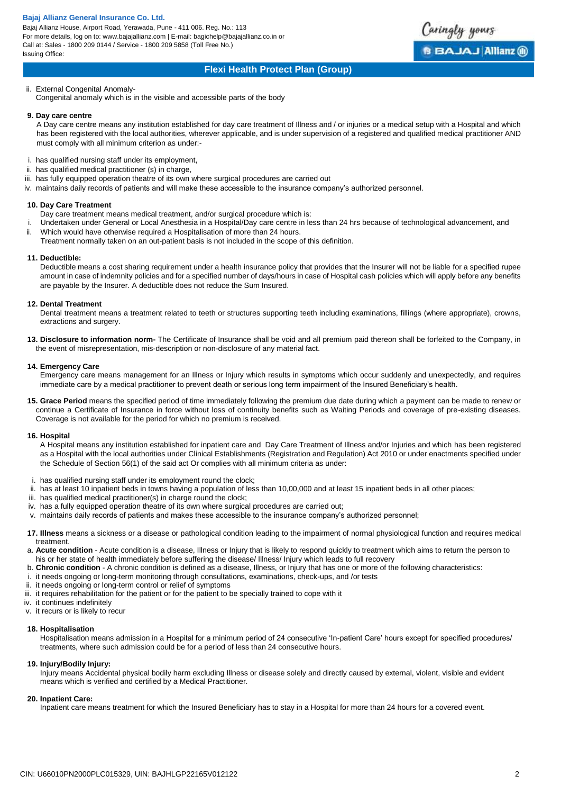Bajaj Allianz House, Airport Road, Yerawada, Pune - 411 006. Reg. No.: 113 For more details, log on to: www.bajajallianz.com | E-mail: bagichelp@bajajallianz.co.in or Call at: Sales - 1800 209 0144 / Service - 1800 209 5858 (Toll Free No.) Issuing Office:



# **Flexi Health Protect Plan (Group)**

ii. External Congenital Anomaly-Congenital anomaly which is in the visible and accessible parts of the body

## **9. Day care centre**

A Day care centre means any institution established for day care treatment of Illness and / or injuries or a medical setup with a Hospital and which has been registered with the local authorities, wherever applicable, and is under supervision of a registered and qualified medical practitioner AND must comply with all minimum criterion as under:-

- i. has qualified nursing staff under its employment,
- ii. has qualified medical practitioner (s) in charge,
- iii. has fully equipped operation theatre of its own where surgical procedures are carried out
- iv. maintains daily records of patients and will make these accessible to the insurance company's authorized personnel.

# **10. Day Care Treatment**

- Day care treatment means medical treatment, and/or surgical procedure which is:
- i. Undertaken under General or Local Anesthesia in a Hospital/Day care centre in less than 24 hrs because of technological advancement, and
- ii. Which would have otherwise required a Hospitalisation of more than 24 hours. Treatment normally taken on an out-patient basis is not included in the scope of this definition.

### **11. Deductible:**

Deductible means a cost sharing requirement under a health insurance policy that provides that the Insurer will not be liable for a specified rupee amount in case of indemnity policies and for a specified number of days/hours in case of Hospital cash policies which will apply before any benefits are payable by the Insurer. A deductible does not reduce the Sum Insured.

# **12. Dental Treatment**

Dental treatment means a treatment related to teeth or structures supporting teeth including examinations, fillings (where appropriate), crowns, extractions and surgery.

**13. Disclosure to information norm-** The Certificate of Insurance shall be void and all premium paid thereon shall be forfeited to the Company, in the event of misrepresentation, mis-description or non-disclosure of any material fact.

# **14. Emergency Care**

Emergency care means management for an Illness or Injury which results in symptoms which occur suddenly and unexpectedly, and requires immediate care by a medical practitioner to prevent death or serious long term impairment of the Insured Beneficiary's health.

**15. Grace Period** means the specified period of time immediately following the premium due date during which a payment can be made to renew or continue a Certificate of Insurance in force without loss of continuity benefits such as Waiting Periods and coverage of pre-existing diseases. Coverage is not available for the period for which no premium is received.

#### **16. Hospital**

A Hospital means any institution established for inpatient care and Day Care Treatment of Illness and/or Injuries and which has been registered as a Hospital with the local authorities under Clinical Establishments (Registration and Regulation) Act 2010 or under enactments specified under the Schedule of Section 56(1) of the said act Or complies with all minimum criteria as under:

- i. has qualified nursing staff under its employment round the clock;
- ii. has at least 10 inpatient beds in towns having a population of less than 10,00,000 and at least 15 inpatient beds in all other places;
- iii. has qualified medical practitioner(s) in charge round the clock;
- iv. has a fully equipped operation theatre of its own where surgical procedures are carried out;
- v. maintains daily records of patients and makes these accessible to the insurance company's authorized personnel;
- **17. Illness** means a sickness or a disease or pathological condition leading to the impairment of normal physiological function and requires medical treatment.
- a. **Acute condition**  Acute condition is a disease, Illness or Injury that is likely to respond quickly to treatment which aims to return the person to his or her state of health immediately before suffering the disease/ Illness/ Injury which leads to full recovery
- b. **Chronic condition**  A chronic condition is defined as a disease, Illness, or Injury that has one or more of the following characteristics:
- i. it needs ongoing or long-term monitoring through consultations, examinations, check-ups, and /or tests
- ii. it needs ongoing or long-term control or relief of symptoms
- iii. it requires rehabilitation for the patient or for the patient to be specially trained to cope with it
- iv. it continues indefinitely
- v. it recurs or is likely to recur

# **18. Hospitalisation**

Hospitalisation means admission in a Hospital for a minimum period of 24 consecutive 'In-patient Care' hours except for specified procedures/ treatments, where such admission could be for a period of less than 24 consecutive hours.

## **19. Injury/Bodily Injury:**

Injury means Accidental physical bodily harm excluding Illness or disease solely and directly caused by external, violent, visible and evident means which is verified and certified by a Medical Practitioner.

#### **20. Inpatient Care:**

Inpatient care means treatment for which the Insured Beneficiary has to stay in a Hospital for more than 24 hours for a covered event.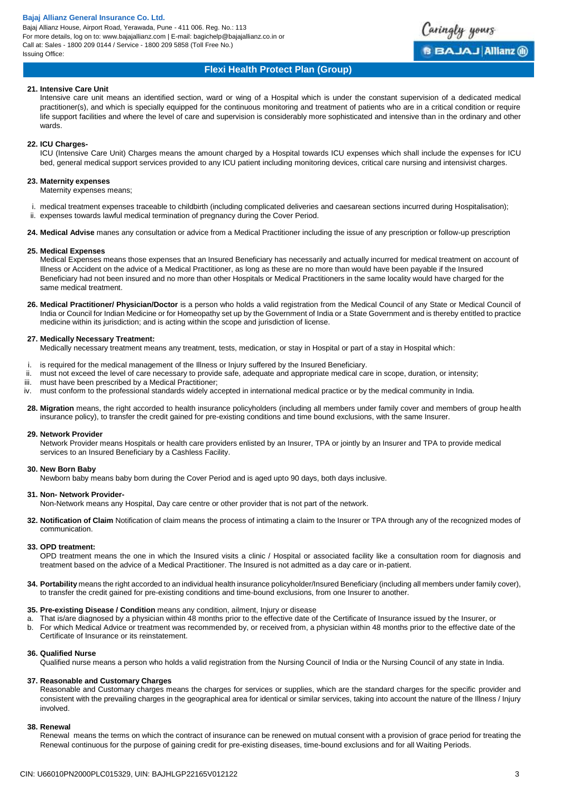Bajaj Allianz House, Airport Road, Yerawada, Pune - 411 006. Reg. No.: 113 For more details, log on to: www.bajajallianz.com | E-mail: bagichelp@bajajallianz.co.in or Call at: Sales - 1800 209 0144 / Service - 1800 209 5858 (Toll Free No.) Issuing Office:



# **Flexi Health Protect Plan (Group)**

## **21. Intensive Care Unit**

Intensive care unit means an identified section, ward or wing of a Hospital which is under the constant supervision of a dedicated medical practitioner(s), and which is specially equipped for the continuous monitoring and treatment of patients who are in a critical condition or require life support facilities and where the level of care and supervision is considerably more sophisticated and intensive than in the ordinary and other wards.

## **22. ICU Charges-**

ICU (Intensive Care Unit) Charges means the amount charged by a Hospital towards ICU expenses which shall include the expenses for ICU bed, general medical support services provided to any ICU patient including monitoring devices, critical care nursing and intensivist charges.

### **23. Maternity expenses**

Maternity expenses means;

- i. medical treatment expenses traceable to childbirth (including complicated deliveries and caesarean sections incurred during Hospitalisation);
- ii. expenses towards lawful medical termination of pregnancy during the Cover Period.
- **24. Medical Advise** manes any consultation or advice from a Medical Practitioner including the issue of any prescription or follow-up prescription

### **25. Medical Expenses**

Medical Expenses means those expenses that an Insured Beneficiary has necessarily and actually incurred for medical treatment on account of Illness or Accident on the advice of a Medical Practitioner, as long as these are no more than would have been payable if the Insured Beneficiary had not been insured and no more than other Hospitals or Medical Practitioners in the same locality would have charged for the same medical treatment.

**26. Medical Practitioner/ Physician/Doctor** is a person who holds a valid registration from the Medical Council of any State or Medical Council of India or Council for Indian Medicine or for Homeopathy set up by the Government of India or a State Government and is thereby entitled to practice medicine within its jurisdiction; and is acting within the scope and jurisdiction of license.

### **27. Medically Necessary Treatment:**

Medically necessary treatment means any treatment, tests, medication, or stay in Hospital or part of a stay in Hospital which:

- i. is required for the medical management of the Illness or Injury suffered by the Insured Beneficiary.
- must not exceed the level of care necessary to provide safe, adequate and appropriate medical care in scope, duration, or intensity;
- iii. must have been prescribed by a Medical Practitioner;
- iv. must conform to the professional standards widely accepted in international medical practice or by the medical community in India.
- **28. Migration** means, the right accorded to health insurance policyholders (including all members under family cover and members of group health insurance policy), to transfer the credit gained for pre-existing conditions and time bound exclusions, with the same Insurer.

#### **29. Network Provider**

Network Provider means Hospitals or health care providers enlisted by an Insurer, TPA or jointly by an Insurer and TPA to provide medical services to an Insured Beneficiary by a Cashless Facility.

### **30. New Born Baby**

Newborn baby means baby born during the Cover Period and is aged upto 90 days, both days inclusive.

#### **31. Non- Network Provider-**

Non-Network means any Hospital, Day care centre or other provider that is not part of the network.

**32. Notification of Claim** Notification of claim means the process of intimating a claim to the Insurer or TPA through any of the recognized modes of communication.

#### **33. OPD treatment:**

OPD treatment means the one in which the Insured visits a clinic / Hospital or associated facility like a consultation room for diagnosis and treatment based on the advice of a Medical Practitioner. The Insured is not admitted as a day care or in-patient.

**34. Portability** means the right accorded to an individual health insurance policyholder/Insured Beneficiary (including all members under family cover), to transfer the credit gained for pre-existing conditions and time-bound exclusions, from one Insurer to another.

#### **35. Pre-existing Disease / Condition** means any condition, ailment, Injury or disease

- That is/are diagnosed by a physician within 48 months prior to the effective date of the Certificate of Insurance issued by the Insurer, or
- b. For which Medical Advice or treatment was recommended by, or received from, a physician within 48 months prior to the effective date of the Certificate of Insurance or its reinstatement.

# **36. Qualified Nurse**

Qualified nurse means a person who holds a valid registration from the Nursing Council of India or the Nursing Council of any state in India.

#### **37. Reasonable and Customary Charges**

Reasonable and Customary charges means the charges for services or supplies, which are the standard charges for the specific provider and consistent with the prevailing charges in the geographical area for identical or similar services, taking into account the nature of the Illness / Injury involved.

### **38. Renewal**

Renewal means the terms on which the contract of insurance can be renewed on mutual consent with a provision of grace period for treating the Renewal continuous for the purpose of gaining credit for pre-existing diseases, time-bound exclusions and for all Waiting Periods.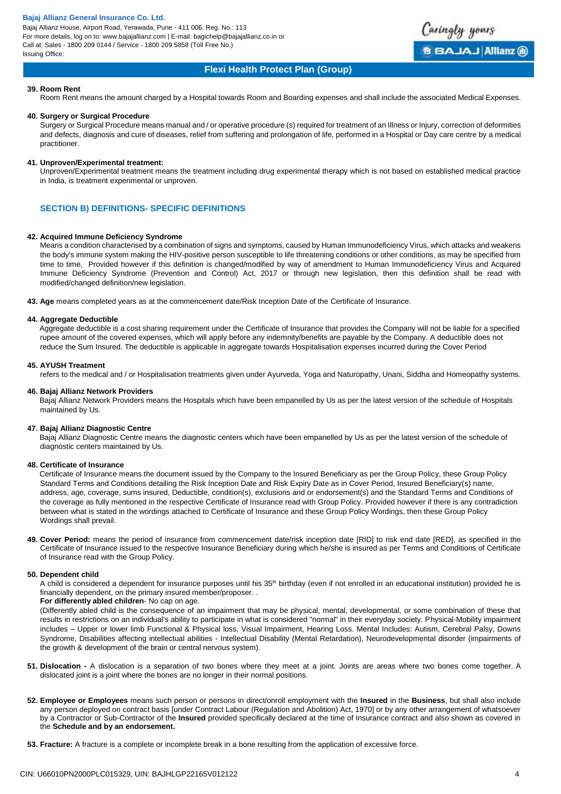Bajaj Allianz House, Airport Road, Yerawada, Pune - 411 006. Reg. No.: 113 For more details, log on to: www.bajajallianz.com | E-mail: bagichelp@bajajallianz.co.in or Call at: Sales - 1800 209 0144 / Service - 1800 209 5858 (Toll Free No.) Issuing Office:



# **Flexi Health Protect Plan (Group)**

### **39. Room Rent**

Room Rent means the amount charged by a Hospital towards Room and Boarding expenses and shall include the associated Medical Expenses.

#### **40. Surgery or Surgical Procedure**

Surgery or Surgical Procedure means manual and / or operative procedure (s) required for treatment of an Illness or Injury, correction of deformities and defects, diagnosis and cure of diseases, relief from suffering and prolongation of life, performed in a Hospital or Day care centre by a medical practitioner.

### **41. Unproven/Experimental treatment:**

Unproven/Experimental treatment means the treatment including drug experimental therapy which is not based on established medical practice in India, is treatment experimental or unproven.

# **SECTION B) DEFINITIONS- SPECIFIC DEFINITIONS**

#### **42. Acquired Immune Deficiency Syndrome**

Means a condition characterised by a combination of signs and symptoms, caused by Human Immunodeficiency Virus, which attacks and weakens the body's immune system making the HIV-positive person susceptible to life threatening conditions or other conditions, as may be specified from time to time, Provided however if this definition is changed/modified by way of amendment to Human Immunodeficiency Virus and Acquired Immune Deficiency Syndrome (Prevention and Control) Act, 2017 or through new legislation, then this definition shall be read with modified/changed definition/new legislation.

**43. Age** means completed years as at the commencement date/Risk Inception Date of the Certificate of Insurance.

# **44. Aggregate Deductible**

Aggregate deductible is a cost sharing requirement under the Certificate of Insurance that provides the Company will not be liable for a specified rupee amount of the covered expenses, which will apply before any indemnity/benefits are payable by the Company. A deductible does not reduce the Sum Insured. The deductible is applicable in aggregate towards Hospitalisation expenses incurred during the Cover Period

# **45. AYUSH Treatment**

refers to the medical and / or Hospitalisation treatments given under Ayurveda, Yoga and Naturopathy, Unani, Siddha and Homeopathy systems.

### **46. Bajaj Allianz Network Providers**

Bajaj Allianz Network Providers means the Hospitals which have been empanelled by Us as per the latest version of the schedule of Hospitals maintained by Us.

# **47. Bajaj Allianz Diagnostic Centre**

Bajaj Allianz Diagnostic Centre means the diagnostic centers which have been empanelled by Us as per the latest version of the schedule of diagnostic centers maintained by Us.

#### **48. Certificate of Insurance**

Certificate of Insurance means the document issued by the Company to the Insured Beneficiary as per the Group Policy, these Group Policy Standard Terms and Conditions detailing the Risk Inception Date and Risk Expiry Date as in Cover Period, Insured Beneficiary(s) name, address, age, coverage, sums insured, Deductible, condition(s), exclusions and or endorsement(s) and the Standard Terms and Conditions of the coverage as fully mentioned in the respective Certificate of Insurance read with Group Policy. Provided however if there is any contradiction between what is stated in the wordings attached to Certificate of Insurance and these Group Policy Wordings, then these Group Policy Wordings shall prevail.

**49. Cover Period:** means the period of insurance from commencement date/risk inception date [RID] to risk end date [RED], as specified in the Certificate of Insurance issued to the respective Insurance Beneficiary during which he/she is insured as per Terms and Conditions of Certificate of Insurance read with the Group Policy.

### **50. Dependent child**

A child is considered a dependent for insurance purposes until his 35<sup>th</sup> birthday (even if not enrolled in an educational institution) provided he is financially dependent, on the primary insured member/proposer. .

#### **For differently abled children**- No cap on age.

(Differently abled child is the consequence of an impairment that may be physical, mental, developmental, or some combination of these that results in restrictions on an individual's ability to participate in what is considered "normal" in their everyday society. Physical-Mobility impairment includes – Upper or lower limb Functional & Physical loss, Visual Impairment, Hearing Loss. Mental Includes: Autism, Cerebral Palsy, Downs Syndrome, Disabilities affecting intellectual abilities - Intellectual Disability (Mental Retardation), Neurodevelopmental disorder (impairments of the growth & development of the brain or central nervous system).

- **51. Dislocation -** A dislocation is a separation of two bones where they meet at a joint. Joints are areas where two bones come together. A dislocated joint is a joint where the bones are no longer in their normal positions.
- **52. Employee or Employees** means such person or persons in direct/onroll employment with the **Insured** in the **Business**, but shall also include any person deployed on contract basis [under Contract Labour (Regulation and Abolition) Act, 1970] or by any other arrangement of whatsoever by a Contractor or Sub-Contractor of the **Insured** provided specifically declared at the time of Insurance contract and also shown as covered in the **Schedule and by an endorsement.**
- **53. Fracture:** A fracture is a complete or incomplete break in a bone resulting from the application of excessive force.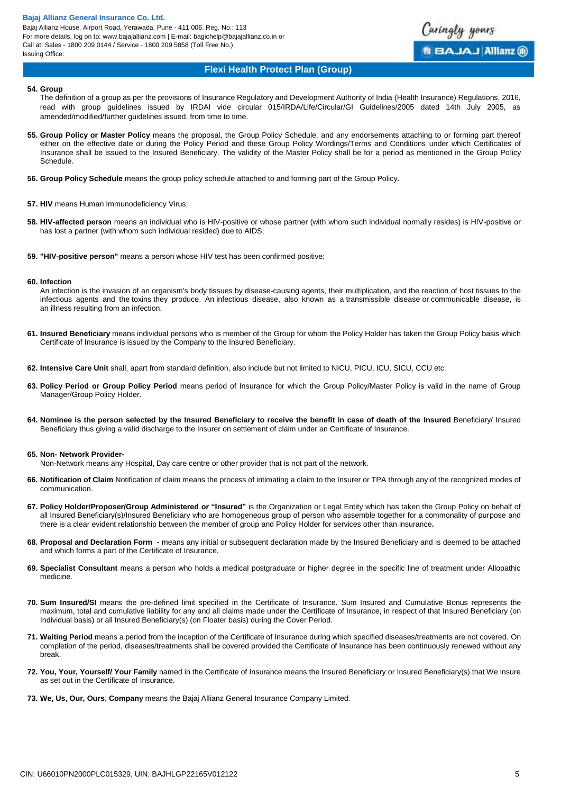Bajaj Allianz House, Airport Road, Yerawada, Pune - 411 006. Reg. No.: 113 For more details, log on to: www.bajajallianz.com | E-mail: bagichelp@bajajallianz.co.in or Call at: Sales - 1800 209 0144 / Service - 1800 209 5858 (Toll Free No.) Issuing Office:



# **Flexi Health Protect Plan (Group)**

#### **54. Group**

The definition of a group as per the provisions of Insurance Regulatory and Development Authority of India (Health Insurance) Regulations, 2016, read with group guidelines issued by IRDAI vide circular 015/IRDA/Life/Circular/GI Guidelines/2005 dated 14th July 2005, as amended/modified/further guidelines issued, from time to time.

- **55. Group Policy or Master Policy** means the proposal, the Group Policy Schedule, and any endorsements attaching to or forming part thereof either on the effective date or during the Policy Period and these Group Policy Wordings/Terms and Conditions under which Certificates of Insurance shall be issued to the Insured Beneficiary. The validity of the Master Policy shall be for a period as mentioned in the Group Policy Schedule.
- **56. Group Policy Schedule** means the group policy schedule attached to and forming part of the Group Policy.
- **57. HIV** means Human Immunodeficiency Virus;
- **58. HIV-affected person** means an individual who is HIV-positive or whose partner (with whom such individual normally resides) is HIV-positive or has lost a partner (with whom such individual resided) due to AIDS;
- **59. "HIV-positive person"** means a person whose HIV test has been confirmed positive;

#### **60. Infection**

An infection is the invasion of an organism's body tissues by disease-causing agents, their multiplication, and the reaction of host tissues to the infectious agents and the toxins they produce. An infectious disease, also known as a transmissible disease or communicable disease, is an illness resulting from an infection.

- **61. Insured Beneficiary** means individual persons who is member of the Group for whom the Policy Holder has taken the Group Policy basis which Certificate of Insurance is issued by the Company to the Insured Beneficiary.
- **62. Intensive Care Unit** shall, apart from standard definition, also include but not limited to NICU, PICU, ICU, SICU, CCU etc.
- **63. Policy Period or Group Policy Period** means period of Insurance for which the Group Policy/Master Policy is valid in the name of Group Manager/Group Policy Holder.
- **64. Nominee is the person selected by the Insured Beneficiary to receive the benefit in case of death of the Insured** Beneficiary/ Insured Beneficiary thus giving a valid discharge to the Insurer on settlement of claim under an Certificate of Insurance.

#### **65. Non- Network Provider-**

Non-Network means any Hospital, Day care centre or other provider that is not part of the network.

- **66. Notification of Claim** Notification of claim means the process of intimating a claim to the Insurer or TPA through any of the recognized modes of communication.
- **67. Policy Holder/Proposer/Group Administered or "Insured"** is the Organization or Legal Entity which has taken the Group Policy on behalf of all Insured Beneficiary(s)/Insured Beneficiary who are homogeneous group of person who assemble together for a commonality of purpose and there is a clear evident relationship between the member of group and Policy Holder for services other than insurance**.**
- **68. Proposal and Declaration Form -** means any initial or subsequent declaration made by the Insured Beneficiary and is deemed to be attached and which forms a part of the Certificate of Insurance.
- **69. Specialist Consultant** means a person who holds a medical postgraduate or higher degree in the specific line of treatment under Allopathic medicine.
- **70. Sum Insured/SI** means the pre-defined limit specified in the Certificate of Insurance. Sum Insured and Cumulative Bonus represents the maximum, total and cumulative liability for any and all claims made under the Certificate of Insurance, in respect of that Insured Beneficiary (on Individual basis) or all Insured Beneficiary(s) (on Floater basis) during the Cover Period.
- **71. Waiting Period** means a period from the inception of the Certificate of Insurance during which specified diseases/treatments are not covered. On completion of the period, diseases/treatments shall be covered provided the Certificate of Insurance has been continuously renewed without any break.
- **72. You, Your, Yourself/ Your Family** named in the Certificate of Insurance means the Insured Beneficiary or Insured Beneficiary(s) that We insure as set out in the Certificate of Insurance.
- **73. We, Us, Our, Ours**, **Company** means the Bajaj Allianz General Insurance Company Limited.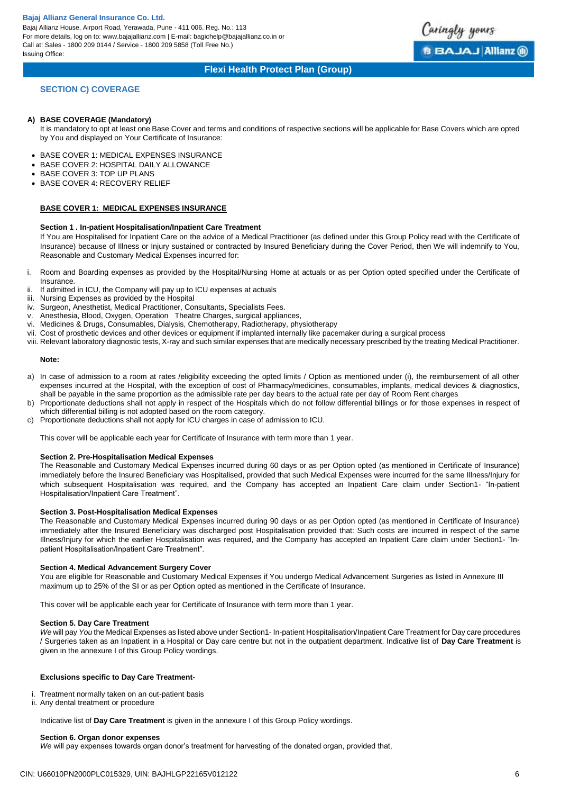Bajaj Allianz House, Airport Road, Yerawada, Pune - 411 006. Reg. No.: 113 For more details, log on to: www.bajajallianz.com | E-mail: bagichelp@bajajallianz.co.in or Call at: Sales - 1800 209 0144 / Service - 1800 209 5858 (Toll Free No.) Issuing Office:



Caringly yours

**BBAJAJ Allianz ®** 

# **SECTION C) COVERAGE**

#### **A) BASE COVERAGE (Mandatory)**

It is mandatory to opt at least one Base Cover and terms and conditions of respective sections will be applicable for Base Covers which are opted by You and displayed on Your Certificate of Insurance:

- BASE COVER 1: MEDICAL EXPENSES INSURANCE
- BASE COVER 2: HOSPITAL DAILY ALLOWANCE
- BASE COVER 3: TOP UP PLANS
- BASE COVER 4: RECOVERY RELIEF

# **BASE COVER 1: MEDICAL EXPENSES INSURANCE**

### **Section 1 . In-patient Hospitalisation/Inpatient Care Treatment**

If You are Hospitalised for Inpatient Care on the advice of a Medical Practitioner (as defined under this Group Policy read with the Certificate of Insurance) because of Illness or Injury sustained or contracted by Insured Beneficiary during the Cover Period, then We will indemnify to You, Reasonable and Customary Medical Expenses incurred for:

- i. Room and Boarding expenses as provided by the Hospital/Nursing Home at actuals or as per Option opted specified under the Certificate of **Insurance**
- ii. If admitted in ICU, the Company will pay up to ICU expenses at actuals
- iii. Nursing Expenses as provided by the Hospital
- iv. Surgeon, Anesthetist, Medical Practitioner, Consultants, Specialists Fees.
- v. Anesthesia, Blood, Oxygen, Operation Theatre Charges, surgical appliances,
- vi. Medicines & Drugs, Consumables, Dialysis, Chemotherapy, Radiotherapy, physiotherapy
- vii. Cost of prosthetic devices and other devices or equipment if implanted internally like pacemaker during a surgical process
- viii. Relevant laboratory diagnostic tests, X-ray and such similar expenses that are medically necessary prescribed by the treating Medical Practitioner.

#### **Note:**

- a) In case of admission to a room at rates /eligibility exceeding the opted limits / Option as mentioned under (i), the reimbursement of all other expenses incurred at the Hospital, with the exception of cost of Pharmacy/medicines, consumables, implants, medical devices & diagnostics, shall be payable in the same proportion as the admissible rate per day bears to the actual rate per day of Room Rent charges
- b) Proportionate deductions shall not apply in respect of the Hospitals which do not follow differential billings or for those expenses in respect of which differential billing is not adopted based on the room category.
- c) Proportionate deductions shall not apply for ICU charges in case of admission to ICU.

This cover will be applicable each year for Certificate of Insurance with term more than 1 year.

# **Section 2. Pre-Hospitalisation Medical Expenses**

The Reasonable and Customary Medical Expenses incurred during 60 days or as per Option opted (as mentioned in Certificate of Insurance) immediately before the Insured Beneficiary was Hospitalised, provided that such Medical Expenses were incurred for the same Illness/Injury for which subsequent Hospitalisation was required, and the Company has accepted an Inpatient Care claim under Section1- "In-patient Hospitalisation/Inpatient Care Treatment".

### **Section 3. Post-Hospitalisation Medical Expenses**

The Reasonable and Customary Medical Expenses incurred during 90 days or as per Option opted (as mentioned in Certificate of Insurance) immediately after the Insured Beneficiary was discharged post Hospitalisation provided that: Such costs are incurred in respect of the same Illness/Injury for which the earlier Hospitalisation was required, and the Company has accepted an Inpatient Care claim under Section1- "Inpatient Hospitalisation/Inpatient Care Treatment".

#### **Section 4. Medical Advancement Surgery Cover**

You are eligible for Reasonable and Customary Medical Expenses if You undergo Medical Advancement Surgeries as listed in Annexure III maximum up to 25% of the SI or as per Option opted as mentioned in the Certificate of Insurance.

This cover will be applicable each year for Certificate of Insurance with term more than 1 year.

#### **Section 5. Day Care Treatment**

*We* will pay *You* the Medical Expenses as listed above under Section1- In-patient Hospitalisation/Inpatient Care Treatment for Day care procedures / Surgeries taken as an Inpatient in a Hospital or Day care centre but not in the outpatient department. Indicative list of **Day Care Treatment** is given in the annexure I of this Group Policy wordings.

# **Exclusions specific to Day Care Treatment-**

i. Treatment normally taken on an out-patient basis

ii. Any dental treatment or procedure

Indicative list of **Day Care Treatment** is given in the annexure I of this Group Policy wordings.

# **Section 6. Organ donor expenses**

*We* will pay expenses towards organ donor's treatment for harvesting of the donated organ, provided that,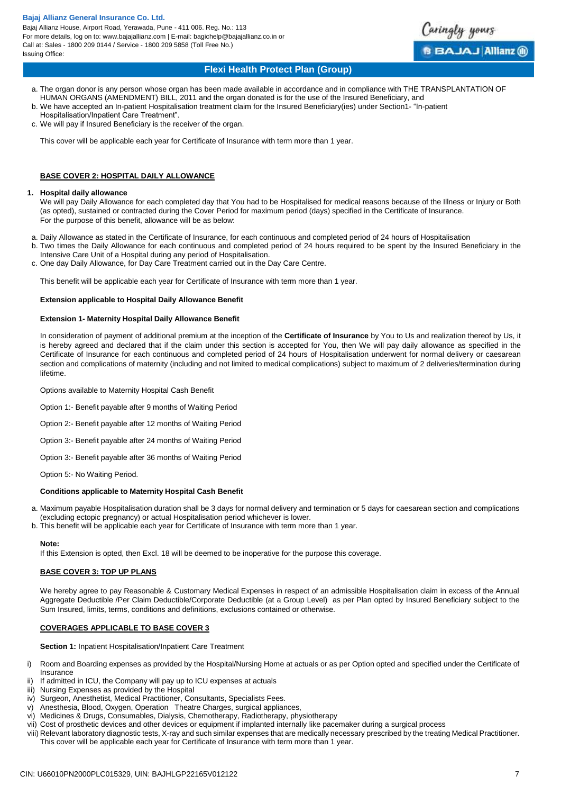Bajaj Allianz House, Airport Road, Yerawada, Pune - 411 006. Reg. No.: 113 For more details, log on to: www.bajajallianz.com | E-mail: bagichelp@bajajallianz.co.in or Call at: Sales - 1800 209 0144 / Service - 1800 209 5858 (Toll Free No.) Issuing Office:



# **Flexi Health Protect Plan (Group)**

- a. The organ donor is any person whose organ has been made available in accordance and in compliance with THE TRANSPLANTATION OF HUMAN ORGANS (AMENDMENT) BILL, 2011 and the organ donated is for the use of the Insured Beneficiary, and
- b. We have accepted an In-patient Hospitalisation treatment claim for the Insured Beneficiary(ies) under Section1- "In-patient
- Hospitalisation/Inpatient Care Treatment".
- c. We will pay if Insured Beneficiary is the receiver of the organ.

This cover will be applicable each year for Certificate of Insurance with term more than 1 year.

# **BASE COVER 2: HOSPITAL DAILY ALLOWANCE**

### **1. Hospital daily allowance**

We will pay Daily Allowance for each completed day that You had to be Hospitalised for medical reasons because of the Illness or Injury or Both (as opted), sustained or contracted during the Cover Period for maximum period (days) specified in the Certificate of Insurance. For the purpose of this benefit, allowance will be as below:

- a. Daily Allowance as stated in the Certificate of Insurance, for each continuous and completed period of 24 hours of Hospitalisation
- b. Two times the Daily Allowance for each continuous and completed period of 24 hours required to be spent by the Insured Beneficiary in the Intensive Care Unit of a Hospital during any period of Hospitalisation.
- c. One day Daily Allowance, for Day Care Treatment carried out in the Day Care Centre.

This benefit will be applicable each year for Certificate of Insurance with term more than 1 year.

### **Extension applicable to Hospital Daily Allowance Benefit**

## **Extension 1- Maternity Hospital Daily Allowance Benefit**

In consideration of payment of additional premium at the inception of the **Certificate of Insurance** by You to Us and realization thereof by Us, it is hereby agreed and declared that if the claim under this section is accepted for You, then We will pay daily allowance as specified in the Certificate of Insurance for each continuous and completed period of 24 hours of Hospitalisation underwent for normal delivery or caesarean section and complications of maternity (including and not limited to medical complications) subject to maximum of 2 deliveries/termination during lifetime.

Options available to Maternity Hospital Cash Benefit

- Option 1:- Benefit payable after 9 months of Waiting Period
- Option 2:- Benefit payable after 12 months of Waiting Period
- Option 3:- Benefit payable after 24 months of Waiting Period
- Option 3:- Benefit payable after 36 months of Waiting Period

Option 5:- No Waiting Period.

# **Conditions applicable to Maternity Hospital Cash Benefit**

a. Maximum payable Hospitalisation duration shall be 3 days for normal delivery and termination or 5 days for caesarean section and complications (excluding ectopic pregnancy) or actual Hospitalisation period whichever is lower.

b. This benefit will be applicable each year for Certificate of Insurance with term more than 1 year.

#### **Note:**

If this Extension is opted, then Excl. 18 will be deemed to be inoperative for the purpose this coverage.

#### **BASE COVER 3: TOP UP PLANS**

We hereby agree to pay Reasonable & Customary Medical Expenses in respect of an admissible Hospitalisation claim in excess of the Annual Aggregate Deductible /Per Claim Deductible/Corporate Deductible (at a Group Level) as per Plan opted by Insured Beneficiary subject to the Sum Insured, limits, terms, conditions and definitions, exclusions contained or otherwise.

# **COVERAGES APPLICABLE TO BASE COVER 3**

**Section 1:** Inpatient Hospitalisation/Inpatient Care Treatment

- i) Room and Boarding expenses as provided by the Hospital/Nursing Home at actuals or as per Option opted and specified under the Certificate of Insurance
- If admitted in ICU, the Company will pay up to ICU expenses at actuals
- iii) Nursing Expenses as provided by the Hospital
- iv) Surgeon, Anesthetist, Medical Practitioner, Consultants, Specialists Fees.
- v) Anesthesia, Blood, Oxygen, Operation Theatre Charges, surgical appliances,
- vi) Medicines & Drugs, Consumables, Dialysis, Chemotherapy, Radiotherapy, physiotherapy
- vii) Cost of prosthetic devices and other devices or equipment if implanted internally like pacemaker during a surgical process
- viii) Relevant laboratory diagnostic tests, X-ray and such similar expenses that are medically necessary prescribed by the treating Medical Practitioner. This cover will be applicable each year for Certificate of Insurance with term more than 1 year.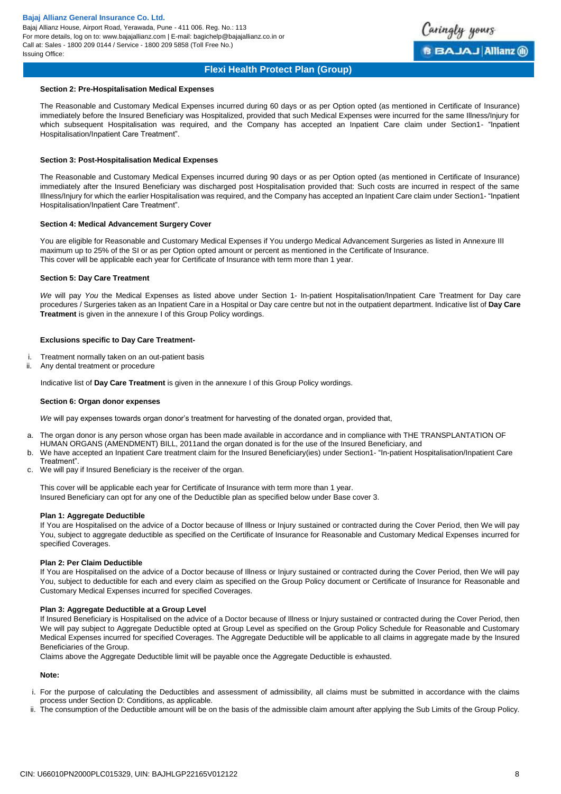Bajaj Allianz House, Airport Road, Yerawada, Pune - 411 006. Reg. No.: 113 For more details, log on to: www.bajajallianz.com | E-mail: bagichelp@bajajallianz.co.in or Call at: Sales - 1800 209 0144 / Service - 1800 209 5858 (Toll Free No.) Issuing Office:



# **Flexi Health Protect Plan (Group)**

#### **Section 2: Pre-Hospitalisation Medical Expenses**

The Reasonable and Customary Medical Expenses incurred during 60 days or as per Option opted (as mentioned in Certificate of Insurance) immediately before the Insured Beneficiary was Hospitalized, provided that such Medical Expenses were incurred for the same Illness/Injury for which subsequent Hospitalisation was required, and the Company has accepted an Inpatient Care claim under Section1- "Inpatient Hospitalisation/Inpatient Care Treatment".

### **Section 3: Post-Hospitalisation Medical Expenses**

The Reasonable and Customary Medical Expenses incurred during 90 days or as per Option opted (as mentioned in Certificate of Insurance) immediately after the Insured Beneficiary was discharged post Hospitalisation provided that: Such costs are incurred in respect of the same Illness/Injury for which the earlier Hospitalisation was required, and the Company has accepted an Inpatient Care claim under Section1- "Inpatient Hospitalisation/Inpatient Care Treatment".

### **Section 4: Medical Advancement Surgery Cover**

You are eligible for Reasonable and Customary Medical Expenses if You undergo Medical Advancement Surgeries as listed in Annexure III maximum up to 25% of the SI or as per Option opted amount or percent as mentioned in the Certificate of Insurance. This cover will be applicable each year for Certificate of Insurance with term more than 1 year.

### **Section 5: Day Care Treatment**

*We* will pay *You* the Medical Expenses as listed above under Section 1- In-patient Hospitalisation/Inpatient Care Treatment for Day care procedures / Surgeries taken as an Inpatient Care in a Hospital or Day care centre but not in the outpatient department. Indicative list of **Day Care Treatment** is given in the annexure I of this Group Policy wordings.

### **Exclusions specific to Day Care Treatment-**

- i. Treatment normally taken on an out-patient basis
- Any dental treatment or procedure

Indicative list of **Day Care Treatment** is given in the annexure I of this Group Policy wordings.

#### **Section 6: Organ donor expenses**

*We* will pay expenses towards organ donor's treatment for harvesting of the donated organ, provided that,

- a. The organ donor is any person whose organ has been made available in accordance and in compliance with THE TRANSPLANTATION OF HUMAN ORGANS (AMENDMENT) BILL, 2011and the organ donated is for the use of the Insured Beneficiary, and
- b. We have accepted an Inpatient Care treatment claim for the Insured Beneficiary(ies) under Section1- "In-patient Hospitalisation/Inpatient Care Treatment".
- c. We will pay if Insured Beneficiary is the receiver of the organ.

This cover will be applicable each year for Certificate of Insurance with term more than 1 year. Insured Beneficiary can opt for any one of the Deductible plan as specified below under Base cover 3.

### **Plan 1: Aggregate Deductible**

If You are Hospitalised on the advice of a Doctor because of Illness or Injury sustained or contracted during the Cover Period, then We will pay You, subject to aggregate deductible as specified on the Certificate of Insurance for Reasonable and Customary Medical Expenses incurred for specified Coverages.

#### **Plan 2: Per Claim Deductible**

If You are Hospitalised on the advice of a Doctor because of Illness or Injury sustained or contracted during the Cover Period, then We will pay You, subject to deductible for each and every claim as specified on the Group Policy document or Certificate of Insurance for Reasonable and Customary Medical Expenses incurred for specified Coverages.

#### **Plan 3: Aggregate Deductible at a Group Level**

If Insured Beneficiary is Hospitalised on the advice of a Doctor because of Illness or Injury sustained or contracted during the Cover Period, then We will pay subject to Aggregate Deductible opted at Group Level as specified on the Group Policy Schedule for Reasonable and Customary Medical Expenses incurred for specified Coverages. The Aggregate Deductible will be applicable to all claims in aggregate made by the Insured Beneficiaries of the Group.

Claims above the Aggregate Deductible limit will be payable once the Aggregate Deductible is exhausted.

### **Note:**

- i. For the purpose of calculating the Deductibles and assessment of admissibility, all claims must be submitted in accordance with the claims process under Section D: Conditions, as applicable.
- ii. The consumption of the Deductible amount will be on the basis of the admissible claim amount after applying the Sub Limits of the Group Policy.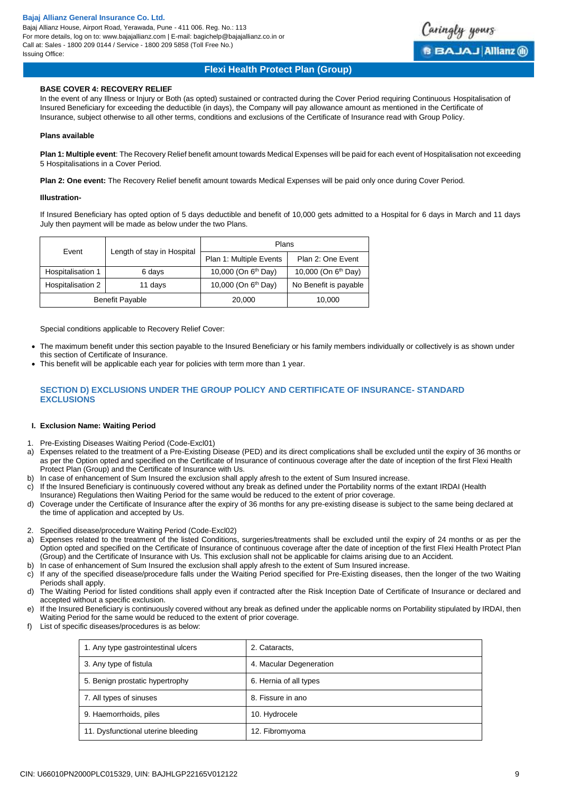Bajaj Allianz House, Airport Road, Yerawada, Pune - 411 006. Reg. No.: 113 For more details, log on to: www.bajajallianz.com | E-mail: bagichelp@bajajallianz.co.in or Call at: Sales - 1800 209 0144 / Service - 1800 209 5858 (Toll Free No.) Issuing Office:



# **Flexi Health Protect Plan (Group)**

# **BASE COVER 4: RECOVERY RELIEF**

In the event of any Illness or Injury or Both (as opted) sustained or contracted during the Cover Period requiring Continuous Hospitalisation of Insured Beneficiary for exceeding the deductible (in days), the Company will pay allowance amount as mentioned in the Certificate of Insurance, subject otherwise to all other terms, conditions and exclusions of the Certificate of Insurance read with Group Policy.

# **Plans available**

**Plan 1: Multiple event**: The Recovery Relief benefit amount towards Medical Expenses will be paid for each event of Hospitalisation not exceeding 5 Hospitalisations in a Cover Period.

**Plan 2: One event:** The Recovery Relief benefit amount towards Medical Expenses will be paid only once during Cover Period.

#### **Illustration-**

If Insured Beneficiary has opted option of 5 days deductible and benefit of 10,000 gets admitted to a Hospital for 6 days in March and 11 days July then payment will be made as below under the two Plans.

| Event                  |                            | Plans                           |                                 |
|------------------------|----------------------------|---------------------------------|---------------------------------|
|                        | Length of stay in Hospital |                                 | Plan 2: One Event               |
| Hospitalisation 1      | 6 days                     | 10,000 (On 6 <sup>th</sup> Day) | 10,000 (On 6 <sup>th</sup> Day) |
| Hospitalisation 2      | 11 days                    | 10,000 (On 6 <sup>th</sup> Day) | No Benefit is payable           |
| <b>Benefit Payable</b> |                            | 20,000                          | 10,000                          |

Special conditions applicable to Recovery Relief Cover:

- The maximum benefit under this section payable to the Insured Beneficiary or his family members individually or collectively is as shown under this section of Certificate of Insurance.
- This benefit will be applicable each year for policies with term more than 1 year.

# **SECTION D) EXCLUSIONS UNDER THE GROUP POLICY AND CERTIFICATE OF INSURANCE- STANDARD EXCLUSIONS**

### **I. Exclusion Name: Waiting Period**

- 1. Pre-Existing Diseases Waiting Period (Code-Excl01)
- a) Expenses related to the treatment of a Pre-Existing Disease (PED) and its direct complications shall be excluded until the expiry of 36 months or as per the Option opted and specified on the Certificate of Insurance of continuous coverage after the date of inception of the first Flexi Health Protect Plan (Group) and the Certificate of Insurance with Us.
- b) In case of enhancement of Sum Insured the exclusion shall apply afresh to the extent of Sum Insured increase.
- c) If the Insured Beneficiary is continuously covered without any break as defined under the Portability norms of the extant IRDAI (Health
- Insurance) Regulations then Waiting Period for the same would be reduced to the extent of prior coverage.
- d) Coverage under the Certificate of Insurance after the expiry of 36 months for any pre-existing disease is subject to the same being declared at the time of application and accepted by Us.
- 2. Specified disease/procedure Waiting Period (Code-Excl02)
- a) Expenses related to the treatment of the listed Conditions, surgeries/treatments shall be excluded until the expiry of 24 months or as per the Option opted and specified on the Certificate of Insurance of continuous coverage after the date of inception of the first Flexi Health Protect Plan (Group) and the Certificate of Insurance with Us. This exclusion shall not be applicable for claims arising due to an Accident.
- In case of enhancement of Sum Insured the exclusion shall apply afresh to the extent of Sum Insured increase.
- c) If any of the specified disease/procedure falls under the Waiting Period specified for Pre-Existing diseases, then the longer of the two Waiting Periods shall apply.
- d) The Waiting Period for listed conditions shall apply even if contracted after the Risk Inception Date of Certificate of Insurance or declared and accepted without a specific exclusion.
- e) If the Insured Beneficiary is continuously covered without any break as defined under the applicable norms on Portability stipulated by IRDAI, then Waiting Period for the same would be reduced to the extent of prior coverage.
- f) List of specific diseases/procedures is as below:

| 1. Any type gastrointestinal ulcers | 2. Cataracts,           |
|-------------------------------------|-------------------------|
| 3. Any type of fistula              | 4. Macular Degeneration |
| 5. Benign prostatic hypertrophy     | 6. Hernia of all types  |
| 7. All types of sinuses             | 8. Fissure in ano       |
| 9. Haemorrhoids, piles              | 10. Hydrocele           |
| 11. Dysfunctional uterine bleeding  | 12. Fibromyoma          |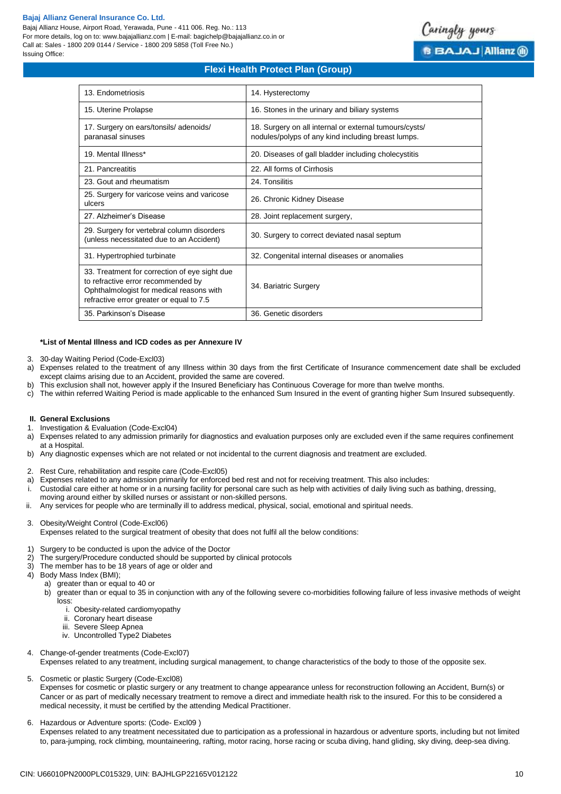Bajaj Allianz House, Airport Road, Yerawada, Pune - 411 006. Reg. No.: 113 For more details, log on to: www.bajajallianz.com | E-mail: bagichelp@bajajallianz.co.in or Call at: Sales - 1800 209 0144 / Service - 1800 209 5858 (Toll Free No.) Issuing Office:



# **Flexi Health Protect Plan (Group)**

| 13. Endometriosis                                                                                                                                                           | 14. Hysterectomy                                                                                             |
|-----------------------------------------------------------------------------------------------------------------------------------------------------------------------------|--------------------------------------------------------------------------------------------------------------|
| 15. Uterine Prolapse                                                                                                                                                        | 16. Stones in the urinary and biliary systems                                                                |
| 17. Surgery on ears/tonsils/adenoids/<br>paranasal sinuses                                                                                                                  | 18. Surgery on all internal or external tumours/cysts/<br>nodules/polyps of any kind including breast lumps. |
| 19. Mental Illness*                                                                                                                                                         | 20. Diseases of gall bladder including cholecystitis                                                         |
| 21. Pancreatitis                                                                                                                                                            | 22. All forms of Cirrhosis                                                                                   |
| 23. Gout and rheumatism                                                                                                                                                     | 24. Tonsilitis                                                                                               |
| 25. Surgery for varicose veins and varicose<br>ulcers                                                                                                                       | 26. Chronic Kidney Disease                                                                                   |
| 27. Alzheimer's Disease                                                                                                                                                     | 28. Joint replacement surgery,                                                                               |
| 29. Surgery for vertebral column disorders<br>(unless necessitated due to an Accident)                                                                                      | 30. Surgery to correct deviated nasal septum                                                                 |
| 31. Hypertrophied turbinate                                                                                                                                                 | 32. Congenital internal diseases or anomalies                                                                |
| 33. Treatment for correction of eye sight due<br>to refractive error recommended by<br>Ophthalmologist for medical reasons with<br>refractive error greater or equal to 7.5 | 34. Bariatric Surgery                                                                                        |
| 35. Parkinson's Disease                                                                                                                                                     | 36. Genetic disorders                                                                                        |

### **\*List of Mental Illness and ICD codes as per Annexure IV**

- 3. 30-day Waiting Period (Code-Excl03)
- a) Expenses related to the treatment of any Illness within 30 days from the first Certificate of Insurance commencement date shall be excluded except claims arising due to an Accident, provided the same are covered.
- b) This exclusion shall not, however apply if the Insured Beneficiary has Continuous Coverage for more than twelve months.
- c) The within referred Waiting Period is made applicable to the enhanced Sum Insured in the event of granting higher Sum Insured subsequently.

#### **II. General Exclusions**

- 1. Investigation & Evaluation (Code-Excl04)
- a) Expenses related to any admission primarily for diagnostics and evaluation purposes only are excluded even if the same requires confinement at a Hospital.
- b) Any diagnostic expenses which are not related or not incidental to the current diagnosis and treatment are excluded.
- 2. Rest Cure, rehabilitation and respite care (Code-Excl05)
- a) Expenses related to any admission primarily for enforced bed rest and not for receiving treatment. This also includes:
- i. Custodial care either at home or in a nursing facility for personal care such as help with activities of daily living such as bathing, dressing,
- moving around either by skilled nurses or assistant or non-skilled persons.
- ii. Any services for people who are terminally ill to address medical, physical, social, emotional and spiritual needs.
- 3. Obesity/Weight Control (Code-Excl06)

Expenses related to the surgical treatment of obesity that does not fulfil all the below conditions:

- 1) Surgery to be conducted is upon the advice of the Doctor
- 2) The surgery/Procedure conducted should be supported by clinical protocols
- 3) The member has to be 18 years of age or older and
- Body Mass Index (BMI):
	- a) greater than or equal to 40 or
	- b) greater than or equal to 35 in conjunction with any of the following severe co-morbidities following failure of less invasive methods of weight loss:
		- i. Obesity-related cardiomyopathy
		- ii. Coronary heart disease
		- iii. Severe Sleep Apnea
		- iv. Uncontrolled Type2 Diabetes
- 4. Change-of-gender treatments (Code-Excl07) Expenses related to any treatment, including surgical management, to change characteristics of the body to those of the opposite sex.
- 5. Cosmetic or plastic Surgery (Code-Excl08)

Expenses for cosmetic or plastic surgery or any treatment to change appearance unless for reconstruction following an Accident, Burn(s) or Cancer or as part of medically necessary treatment to remove a direct and immediate health risk to the insured. For this to be considered a medical necessity, it must be certified by the attending Medical Practitioner.

6. Hazardous or Adventure sports: (Code- Excl09 )

Expenses related to any treatment necessitated due to participation as a professional in hazardous or adventure sports, including but not limited to, para-jumping, rock climbing, mountaineering, rafting, motor racing, horse racing or scuba diving, hand gliding, sky diving, deep-sea diving.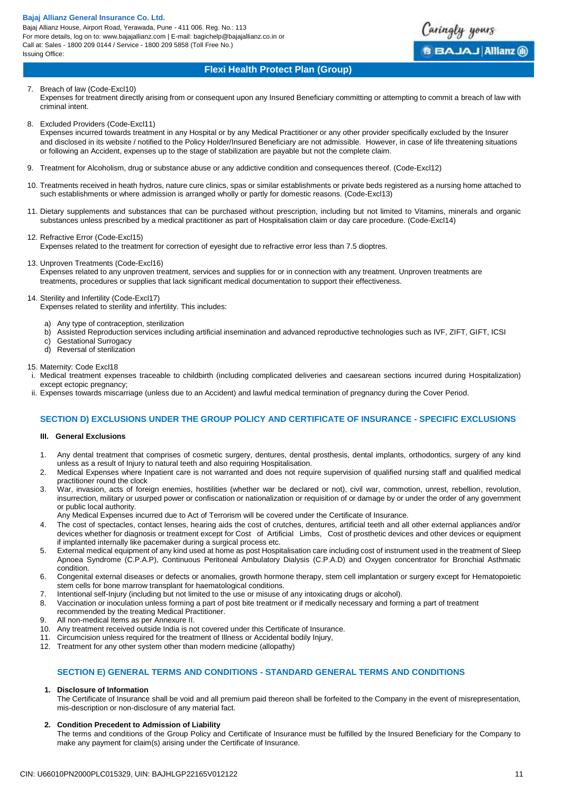Bajaj Allianz House, Airport Road, Yerawada, Pune - 411 006. Reg. No.: 113 For more details, log on to: www.bajajallianz.com | E-mail: bagichelp@bajajallianz.co.in or Call at: Sales - 1800 209 0144 / Service - 1800 209 5858 (Toll Free No.) Issuing Office:



# **Flexi Health Protect Plan (Group)**

# 7. Breach of law (Code-Excl10)

Expenses for treatment directly arising from or consequent upon any Insured Beneficiary committing or attempting to commit a breach of law with criminal intent.

8. Excluded Providers (Code-Excl11)

Expenses incurred towards treatment in any Hospital or by any Medical Practitioner or any other provider specifically excluded by the Insurer and disclosed in its website / notified to the Policy Holder/Insured Beneficiary are not admissible. However, in case of life threatening situations or following an Accident, expenses up to the stage of stabilization are payable but not the complete claim.

- 9. Treatment for Alcoholism, drug or substance abuse or any addictive condition and consequences thereof. (Code-Excl12)
- 10. Treatments received in heath hydros, nature cure clinics, spas or similar establishments or private beds registered as a nursing home attached to such establishments or where admission is arranged wholly or partly for domestic reasons. (Code-Excl13)
- 11. Dietary supplements and substances that can be purchased without prescription, including but not limited to Vitamins, minerals and organic substances unless prescribed by a medical practitioner as part of Hospitalisation claim or day care procedure. (Code-Excl14)

# 12. Refractive Error (Code-Excl15)

Expenses related to the treatment for correction of eyesight due to refractive error less than 7.5 dioptres.

# 13. Unproven Treatments (Code-Excl16)

Expenses related to any unproven treatment, services and supplies for or in connection with any treatment. Unproven treatments are treatments, procedures or supplies that lack significant medical documentation to support their effectiveness.

# 14. Sterility and Infertility (Code-Excl17)

Expenses related to sterility and infertility. This includes:

- a) Any type of contraception, sterilization
- b) Assisted Reproduction services including artificial insemination and advanced reproductive technologies such as IVF, ZIFT, GIFT, ICSI
- c) Gestational Surrogacy<br>d) Reversal of sterilization
- Reversal of sterilization

## 15. Maternity: Code Excl18

Medical treatment expenses traceable to childbirth (including complicated deliveries and caesarean sections incurred during Hospitalization) except ectopic pregnancy;

ii. Expenses towards miscarriage (unless due to an Accident) and lawful medical termination of pregnancy during the Cover Period.

# **SECTION D) EXCLUSIONS UNDER THE GROUP POLICY AND CERTIFICATE OF INSURANCE - SPECIFIC EXCLUSIONS**

# **III. General Exclusions**

- 1. Any dental treatment that comprises of cosmetic surgery, dentures, dental prosthesis, dental implants, orthodontics, surgery of any kind unless as a result of Injury to natural teeth and also requiring Hospitalisation.
- 2. Medical Expenses where Inpatient care is not warranted and does not require supervision of qualified nursing staff and qualified medical practitioner round the clock
- 3. War, invasion, acts of foreign enemies, hostilities (whether war be declared or not), civil war, commotion, unrest, rebellion, revolution, insurrection, military or usurped power or confiscation or nationalization or requisition of or damage by or under the order of any government or public local authority.
- Any Medical Expenses incurred due to Act of Terrorism will be covered under the Certificate of Insurance.
- 4. The cost of spectacles, contact lenses, hearing aids the cost of crutches, dentures, artificial teeth and all other external appliances and/or devices whether for diagnosis or treatment except for Cost of Artificial Limbs, Cost of prosthetic devices and other devices or equipment if implanted internally like pacemaker during a surgical process etc.
- 5. External medical equipment of any kind used at home as post Hospitalisation care including cost of instrument used in the treatment of Sleep Apnoea Syndrome (C.P.A.P), Continuous Peritoneal Ambulatory Dialysis (C.P.A.D) and Oxygen concentrator for Bronchial Asthmatic condition.
- 6. Congenital external diseases or defects or anomalies, growth hormone therapy, stem cell implantation or surgery except for Hematopoietic stem cells for bone marrow transplant for haematological conditions.
- 7. Intentional self-Injury (including but not limited to the use or misuse of any intoxicating drugs or alcohol).
- 8. Vaccination or inoculation unless forming a part of post bite treatment or if medically necessary and forming a part of treatment recommended by the treating Medical Practitioner.
- 9. All non-medical Items as per Annexure II.
- 10. Any treatment received outside India is not covered under this Certificate of Insurance.
- 11. Circumcision unless required for the treatment of Illness or Accidental bodily Injury,
- 12. Treatment for any other system other than modern medicine (allopathy)

# **SECTION E) GENERAL TERMS AND CONDITIONS - STANDARD GENERAL TERMS AND CONDITIONS**

# **1. Disclosure of Information**

The Certificate of Insurance shall be void and all premium paid thereon shall be forfeited to the Company in the event of misrepresentation, mis-description or non-disclosure of any material fact.

# **2. Condition Precedent to Admission of Liability**

The terms and conditions of the Group Policy and Certificate of Insurance must be fulfilled by the Insured Beneficiary for the Company to make any payment for claim(s) arising under the Certificate of Insurance.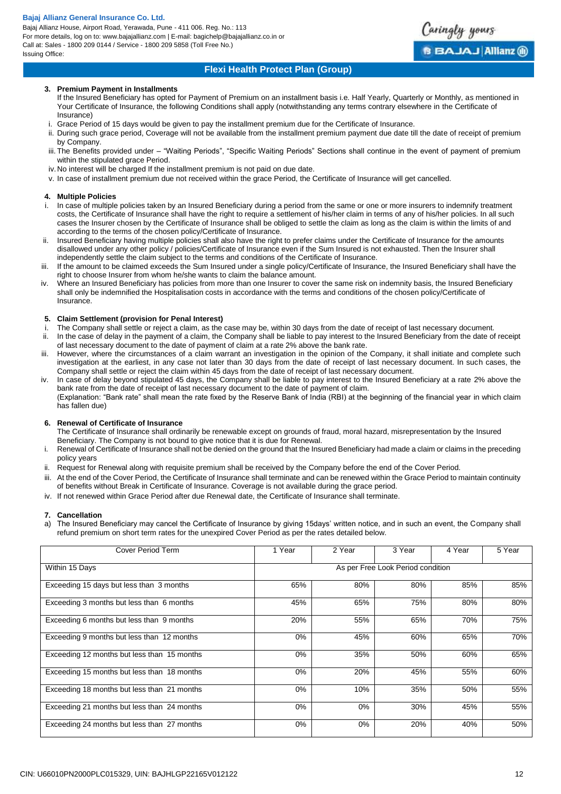Bajaj Allianz House, Airport Road, Yerawada, Pune - 411 006. Reg. No.: 113 For more details, log on to: www.bajajallianz.com | E-mail: bagichelp@bajajallianz.co.in or Call at: Sales - 1800 209 0144 / Service - 1800 209 5858 (Toll Free No.) Issuing Office:



# **Flexi Health Protect Plan (Group)**

# **3. Premium Payment in Installments**

- If the Insured Beneficiary has opted for Payment of Premium on an installment basis i.e. Half Yearly, Quarterly or Monthly, as mentioned in Your Certificate of Insurance, the following Conditions shall apply (notwithstanding any terms contrary elsewhere in the Certificate of Insurance)
- i. Grace Period of 15 days would be given to pay the installment premium due for the Certificate of Insurance.
- ii. During such grace period, Coverage will not be available from the installment premium payment due date till the date of receipt of premium by Company.
- iii. The Benefits provided under "Waiting Periods", "Specific Waiting Periods" Sections shall continue in the event of payment of premium within the stipulated grace Period.
- iv.No interest will be charged If the installment premium is not paid on due date.
- v. In case of installment premium due not received within the grace Period, the Certificate of Insurance will get cancelled.

# **4. Multiple Policies**

- i. In case of multiple policies taken by an Insured Beneficiary during a period from the same or one or more insurers to indemnify treatment costs, the Certificate of Insurance shall have the right to require a settlement of his/her claim in terms of any of his/her policies. In all such cases the Insurer chosen by the Certificate of Insurance shall be obliged to settle the claim as long as the claim is within the limits of and according to the terms of the chosen policy/Certificate of Insurance.
- ii. Insured Beneficiary having multiple policies shall also have the right to prefer claims under the Certificate of Insurance for the amounts disallowed under any other policy / policies/Certificate of Insurance even if the Sum Insured is not exhausted. Then the Insurer shall independently settle the claim subject to the terms and conditions of the Certificate of Insurance.
- iii. If the amount to be claimed exceeds the Sum Insured under a single policy/Certificate of Insurance, the Insured Beneficiary shall have the right to choose Insurer from whom he/she wants to claim the balance amount.
- iv. Where an Insured Beneficiary has policies from more than one Insurer to cover the same risk on indemnity basis, the Insured Beneficiary shall only be indemnified the Hospitalisation costs in accordance with the terms and conditions of the chosen policy/Certificate of Insurance.

## **5. Claim Settlement (provision for Penal Interest)**

- The Company shall settle or reject a claim, as the case may be, within 30 days from the date of receipt of last necessary document.
- ii. In the case of delay in the payment of a claim, the Company shall be liable to pay interest to the Insured Beneficiary from the date of receipt of last necessary document to the date of payment of claim at a rate 2% above the bank rate.
- iii. However, where the circumstances of a claim warrant an investigation in the opinion of the Company, it shall initiate and complete such investigation at the earliest, in any case not later than 30 days from the date of receipt of last necessary document. In such cases, the Company shall settle or reject the claim within 45 days from the date of receipt of last necessary document.
- iv. In case of delay beyond stipulated 45 days, the Company shall be liable to pay interest to the Insured Beneficiary at a rate 2% above the bank rate from the date of receipt of last necessary document to the date of payment of claim.

(Explanation: "Bank rate" shall mean the rate fixed by the Reserve Bank of India (RBI) at the beginning of the financial year in which claim has fallen due)

# **6. Renewal of Certificate of Insurance**

The Certificate of Insurance shall ordinarily be renewable except on grounds of fraud, moral hazard, misrepresentation by the Insured Beneficiary. The Company is not bound to give notice that it is due for Renewal.

- Renewal of Certificate of Insurance shall not be denied on the ground that the Insured Beneficiary had made a claim or claims in the preceding policy years
- Request for Renewal along with requisite premium shall be received by the Company before the end of the Cover Period.
- iii. At the end of the Cover Period, the Certificate of Insurance shall terminate and can be renewed within the Grace Period to maintain continuity of benefits without Break in Certificate of Insurance. Coverage is not available during the grace period.
- iv. If not renewed within Grace Period after due Renewal date, the Certificate of Insurance shall terminate.

# **7. Cancellation**

The Insured Beneficiary may cancel the Certificate of Insurance by giving 15days' written notice, and in such an event, the Company shall refund premium on short term rates for the unexpired Cover Period as per the rates detailed below.

| Cover Period Term                           | 1 Year | 2 Year | 3 Year                            | 4 Year | 5 Year |
|---------------------------------------------|--------|--------|-----------------------------------|--------|--------|
| Within 15 Days                              |        |        | As per Free Look Period condition |        |        |
| Exceeding 15 days but less than 3 months    | 65%    | 80%    | 80%                               | 85%    | 85%    |
| Exceeding 3 months but less than 6 months   | 45%    | 65%    | 75%                               | 80%    | 80%    |
| Exceeding 6 months but less than 9 months   | 20%    | 55%    | 65%                               | 70%    | 75%    |
| Exceeding 9 months but less than 12 months  | $0\%$  | 45%    | 60%                               | 65%    | 70%    |
| Exceeding 12 months but less than 15 months | $0\%$  | 35%    | 50%                               | 60%    | 65%    |
| Exceeding 15 months but less than 18 months | 0%     | 20%    | 45%                               | 55%    | 60%    |
| Exceeding 18 months but less than 21 months | $0\%$  | 10%    | 35%                               | 50%    | 55%    |
| Exceeding 21 months but less than 24 months | $0\%$  | 0%     | 30%                               | 45%    | 55%    |
| Exceeding 24 months but less than 27 months | $0\%$  | 0%     | 20%                               | 40%    | 50%    |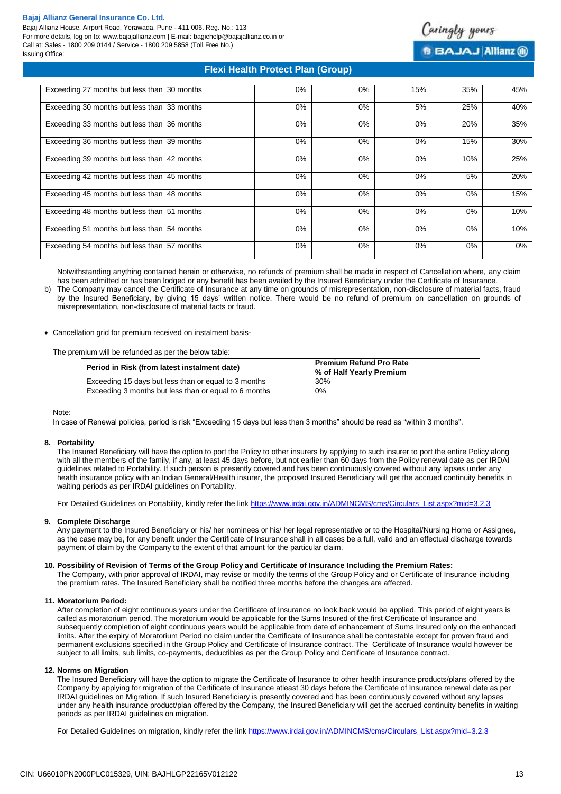Bajaj Allianz House, Airport Road, Yerawada, Pune - 411 006. Reg. No.: 113 For more details, log on to: www.bajajallianz.com | E-mail: bagichelp@bajajallianz.co.in or Call at: Sales - 1800 209 0144 / Service - 1800 209 5858 (Toll Free No.) Issuing Office:



**BBAJAJ Allianz ®** 

# **Flexi Health Protect Plan (Group)**

| Exceeding 27 months but less than 30 months | $0\%$ | 0%    | 15%   | 35%   | 45% |
|---------------------------------------------|-------|-------|-------|-------|-----|
| Exceeding 30 months but less than 33 months | $0\%$ | $0\%$ | 5%    | 25%   | 40% |
| Exceeding 33 months but less than 36 months | $0\%$ | 0%    | $0\%$ | 20%   | 35% |
| Exceeding 36 months but less than 39 months | $0\%$ | 0%    | $0\%$ | 15%   | 30% |
| Exceeding 39 months but less than 42 months | $0\%$ | 0%    | $0\%$ | 10%   | 25% |
| Exceeding 42 months but less than 45 months | $0\%$ | 0%    | $0\%$ | 5%    | 20% |
| Exceeding 45 months but less than 48 months | $0\%$ | 0%    | 0%    | 0%    | 15% |
| Exceeding 48 months but less than 51 months | $0\%$ | 0%    | $0\%$ | $0\%$ | 10% |
| Exceeding 51 months but less than 54 months | $0\%$ | 0%    | $0\%$ | $0\%$ | 10% |
| Exceeding 54 months but less than 57 months | $0\%$ | 0%    | $0\%$ | 0%    | 0%  |

Notwithstanding anything contained herein or otherwise, no refunds of premium shall be made in respect of Cancellation where, any claim has been admitted or has been lodged or any benefit has been availed by the Insured Beneficiary under the Certificate of Insurance.

b) The Company may cancel the Certificate of Insurance at any time on grounds of misrepresentation, non-disclosure of material facts, fraud by the Insured Beneficiary, by giving 15 days' written notice. There would be no refund of premium on cancellation on grounds of misrepresentation, non-disclosure of material facts or fraud.

### Cancellation grid for premium received on instalment basis-

The premium will be refunded as per the below table:

| Period in Risk (from latest instalment date)          | <b>Premium Refund Pro Rate</b> |  |
|-------------------------------------------------------|--------------------------------|--|
|                                                       | % of Half Yearly Premium       |  |
| Exceeding 15 days but less than or equal to 3 months  | 30%                            |  |
| Exceeding 3 months but less than or equal to 6 months | $0\%$                          |  |

#### Note:

In case of Renewal policies, period is risk "Exceeding 15 days but less than 3 months" should be read as "within 3 months".

#### **8. Portability**

The Insured Beneficiary will have the option to port the Policy to other insurers by applying to such insurer to port the entire Policy along with all the members of the family, if any, at least 45 days before, but not earlier than 60 days from the Policy renewal date as per IRDAI guidelines related to Portability. If such person is presently covered and has been continuously covered without any lapses under any health insurance policy with an Indian General/Health insurer, the proposed Insured Beneficiary will get the accrued continuity benefits in waiting periods as per IRDAI guidelines on Portability.

For Detailed Guidelines on Portability, kindly refer the link [https://www.irdai.gov.in/ADMINCMS/cms/Circulars\\_List.aspx?mid=3.2.3](https://www.irdai.gov.in/ADMINCMS/cms/Circulars_List.aspx?mid=3.2.3)

#### **9. Complete Discharge**

Any payment to the Insured Beneficiary or his/ her nominees or his/ her legal representative or to the Hospital/Nursing Home or Assignee, as the case may be, for any benefit under the Certificate of Insurance shall in all cases be a full, valid and an effectual discharge towards payment of claim by the Company to the extent of that amount for the particular claim.

### **10. Possibility of Revision of Terms of the Group Policy and Certificate of Insurance Including the Premium Rates:**

The Company, with prior approval of IRDAI, may revise or modify the terms of the Group Policy and or Certificate of Insurance including the premium rates. The Insured Beneficiary shall be notified three months before the changes are affected.

### **11. Moratorium Period:**

After completion of eight continuous years under the Certificate of Insurance no look back would be applied. This period of eight years is called as moratorium period. The moratorium would be applicable for the Sums Insured of the first Certificate of Insurance and subsequently completion of eight continuous years would be applicable from date of enhancement of Sums Insured only on the enhanced limits. After the expiry of Moratorium Period no claim under the Certificate of Insurance shall be contestable except for proven fraud and permanent exclusions specified in the Group Policy and Certificate of Insurance contract. The Certificate of Insurance would however be subject to all limits, sub limits, co-payments, deductibles as per the Group Policy and Certificate of Insurance contract.

# **12. Norms on Migration**

The Insured Beneficiary will have the option to migrate the Certificate of Insurance to other health insurance products/plans offered by the Company by applying for migration of the Certificate of Insurance atleast 30 days before the Certificate of Insurance renewal date as per IRDAI guidelines on Migration. If such Insured Beneficiary is presently covered and has been continuously covered without any lapses under any health insurance product/plan offered by the Company, the Insured Beneficiary will get the accrued continuity benefits in waiting periods as per IRDAI guidelines on migration.

For Detailed Guidelines on migration, kindly refer the link [https://www.irdai.gov.in/ADMINCMS/cms/Circulars\\_List.aspx?mid=3.2.3](https://www.irdai.gov.in/ADMINCMS/cms/Circulars_List.aspx?mid=3.2.3)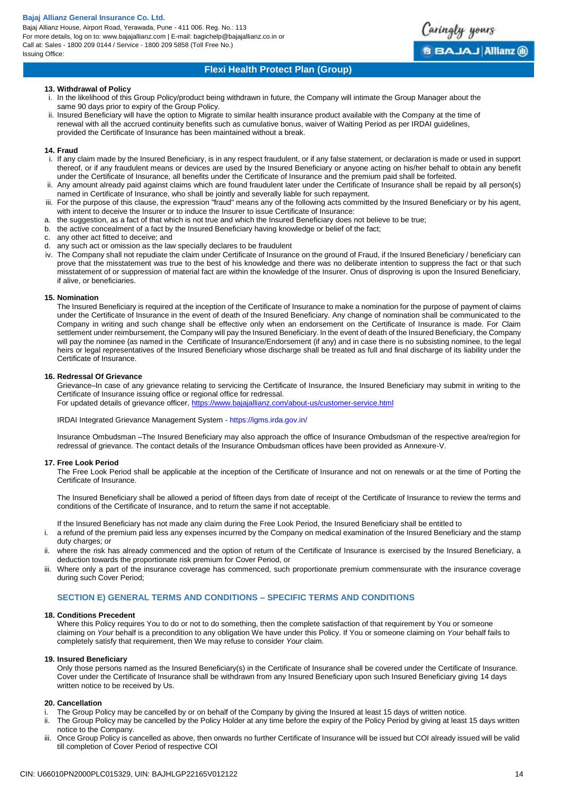Bajaj Allianz House, Airport Road, Yerawada, Pune - 411 006. Reg. No.: 113 For more details, log on to: www.bajajallianz.com | E-mail: bagichelp@bajajallianz.co.in or Call at: Sales - 1800 209 0144 / Service - 1800 209 5858 (Toll Free No.) Issuing Office:



aringly yours

**BBAJAJAIIianz** @

# **13. Withdrawal of Policy**

- i. In the likelihood of this Group Policy/product being withdrawn in future, the Company will intimate the Group Manager about the same 90 days prior to expiry of the Group Policy.
- ii. Insured Beneficiary will have the option to Migrate to similar health insurance product available with the Company at the time of renewal with all the accrued continuity benefits such as cumulative bonus, waiver of Waiting Period as per IRDAI guidelines, provided the Certificate of Insurance has been maintained without a break.

### **14. Fraud**

- i. If any claim made by the Insured Beneficiary, is in any respect fraudulent, or if any false statement, or declaration is made or used in support thereof, or if any fraudulent means or devices are used by the Insured Beneficiary or anyone acting on his/her behalf to obtain any benefit under the Certificate of Insurance, all benefits under the Certificate of Insurance and the premium paid shall be forfeited.
- Any amount already paid against claims which are found fraudulent later under the Certificate of Insurance shall be repaid by all person(s) named in Certificate of Insurance, who shall be jointly and severally liable for such repayment.
- iii. For the purpose of this clause, the expression "fraud" means any of the following acts committed by the Insured Beneficiary or by his agent, with intent to deceive the Insurer or to induce the Insurer to issue Certificate of Insurance:
- a. the suggestion, as a fact of that which is not true and which the Insured Beneficiary does not believe to be true;
- b. the active concealment of a fact by the Insured Beneficiary having knowledge or belief of the fact;
- c. any other act fitted to deceive; and
- d. any such act or omission as the law specially declares to be fraudulent
- iv. The Company shall not repudiate the claim under Certificate of Insurance on the ground of Fraud, if the Insured Beneficiary / beneficiary can prove that the misstatement was true to the best of his knowledge and there was no deliberate intention to suppress the fact or that such misstatement of or suppression of material fact are within the knowledge of the Insurer. Onus of disproving is upon the Insured Beneficiary, if alive, or beneficiaries.

### **15. Nomination**

The Insured Beneficiary is required at the inception of the Certificate of Insurance to make a nomination for the purpose of payment of claims under the Certificate of Insurance in the event of death of the Insured Beneficiary. Any change of nomination shall be communicated to the Company in writing and such change shall be effective only when an endorsement on the Certificate of Insurance is made. For Claim settlement under reimbursement, the Company will pay the Insured Beneficiary. ln the event of death of the Insured Beneficiary, the Company will pay the nominee {as named in the Certificate of Insurance/Endorsement (if any) and in case there is no subsisting nominee, to the legal heirs or legal representatives of the Insured Beneficiary whose discharge shall be treated as full and final discharge of its liability under the Certificate of Insurance.

### **16. Redressal Of Grievance**

Grievance–In case of any grievance relating to servicing the Certificate of Insurance, the Insured Beneficiary may submit in writing to the Certificate of Insurance issuing office or regional office for redressal.

For updated details of grievance officer[, https://www.bajajallianz.com/about-us/customer-service.html](https://www.bajajallianz.com/about-us/customer-service.html)

IRDAI Integrated Grievance Management System - https://igms.irda.gov.in/

Insurance Ombudsman –The Insured Beneficiary may also approach the office of Insurance Ombudsman of the respective area/region for redressal of grievance. The contact details of the Insurance Ombudsman offices have been provided as Annexure-V.

#### **17. Free Look Period**

The Free Look Period shall be applicable at the inception of the Certificate of Insurance and not on renewals or at the time of Porting the Certificate of Insurance.

The Insured Beneficiary shall be allowed a period of fifteen days from date of receipt of the Certificate of Insurance to review the terms and conditions of the Certificate of Insurance, and to return the same if not acceptable.

If the Insured Beneficiary has not made any claim during the Free Look Period, the Insured Beneficiary shall be entitled to

- i. a refund of the premium paid less any expenses incurred by the Company on medical examination of the Insured Beneficiary and the stamp duty charges; or
- ii. where the risk has already commenced and the option of return of the Certificate of Insurance is exercised by the Insured Beneficiary, a deduction towards the proportionate risk premium for Cover Period, or
- iii. Where only a part of the insurance coverage has commenced, such proportionate premium commensurate with the insurance coverage during such Cover Period;

# **SECTION E) GENERAL TERMS AND CONDITIONS – SPECIFIC TERMS AND CONDITIONS**

#### **18. Conditions Precedent**

Where this Policy requires You to do or not to do something, then the complete satisfaction of that requirement by You or someone claiming on *Your* behalf is a precondition to any obligation We have under this Policy. If You or someone claiming on *Your* behalf fails to completely satisfy that requirement, then We may refuse to consider *Your* claim.

#### **19. Insured Beneficiary**

Only those persons named as the Insured Beneficiary(s) in the Certificate of Insurance shall be covered under the Certificate of Insurance. Cover under the Certificate of Insurance shall be withdrawn from any Insured Beneficiary upon such Insured Beneficiary giving 14 days written notice to be received by Us.

#### **20. Cancellation**

- i. The Group Policy may be cancelled by or on behalf of the Company by giving the Insured at least 15 days of written notice.<br>ii. The Group Policy may be cancelled by the Policy Holder at any time before the expiry of the
- The Group Policy may be cancelled by the Policy Holder at any time before the expiry of the Policy Period by giving at least 15 days written notice to the Company.
- Once Group Policy is cancelled as above, then onwards no further Certificate of Insurance will be issued but COI already issued will be valid till completion of Cover Period of respective COI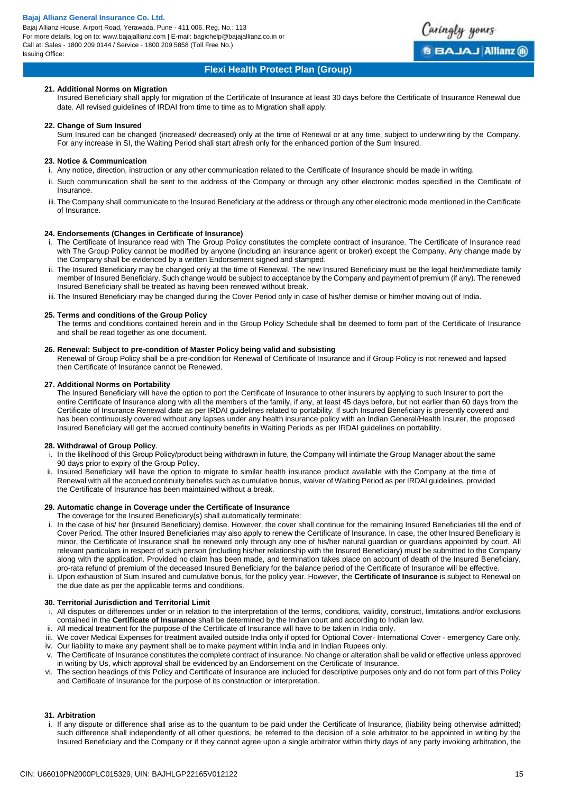Bajaj Allianz House, Airport Road, Yerawada, Pune - 411 006. Reg. No.: 113 For more details, log on to: www.bajajallianz.com | E-mail: bagichelp@bajajallianz.co.in or Call at: Sales - 1800 209 0144 / Service - 1800 209 5858 (Toll Free No.) Issuing Office:



# **Flexi Health Protect Plan (Group)**

# **21. Additional Norms on Migration**

Insured Beneficiary shall apply for migration of the Certificate of Insurance at least 30 days before the Certificate of Insurance Renewal due date. All revised guidelines of IRDAI from time to time as to Migration shall apply.

## **22. Change of Sum Insured**

Sum Insured can be changed (increased/ decreased) only at the time of Renewal or at any time, subject to underwriting by the Company. For any increase in SI, the Waiting Period shall start afresh only for the enhanced portion of the Sum Insured.

# **23. Notice & Communication**

- i. Any notice, direction, instruction or any other communication related to the Certificate of Insurance should be made in writing.
- ii. Such communication shall be sent to the address of the Company or through any other electronic modes specified in the Certificate of **Insurance**
- iii. The Company shall communicate to the Insured Beneficiary at the address or through any other electronic mode mentioned in the Certificate of Insurance.

# **24. Endorsements (Changes in Certificate of Insurance)**

- i. The Certificate of Insurance read with The Group Policy constitutes the complete contract of insurance. The Certificate of Insurance read with The Group Policy cannot be modified by anyone (including an insurance agent or broker) except the Company. Any change made by the Company shall be evidenced by a written Endorsement signed and stamped.
- ii. The Insured Beneficiary may be changed only at the time of Renewal. The new Insured Beneficiary must be the legal heir/immediate family member of Insured Beneficiary. Such change would be subject to acceptance by the Company and payment of premium (if any). The renewed Insured Beneficiary shall be treated as having been renewed without break.
- iii. The Insured Beneficiary may be changed during the Cover Period only in case of his/her demise or him/her moving out of India.

### **25. Terms and conditions of the Group Policy**

The terms and conditions contained herein and in the Group Policy Schedule shall be deemed to form part of the Certificate of Insurance and shall be read together as one document.

### **26. Renewal: Subject to pre-condition of Master Policy being valid and subsisting**

Renewal of Group Policy shall be a pre-condition for Renewal of Certificate of Insurance and if Group Policy is not renewed and lapsed then Certificate of Insurance cannot be Renewed.

### **27. Additional Norms on Portability**

The Insured Beneficiary will have the option to port the Certificate of Insurance to other insurers by applying to such Insurer to port the entire Certificate of Insurance along with all the members of the family, if any, at least 45 days before, but not earlier than 60 days from the Certificate of Insurance Renewal date as per IRDAI guidelines related to portability. If such Insured Beneficiary is presently covered and has been continuously covered without any lapses under any health insurance policy with an Indian General/Health Insurer, the proposed Insured Beneficiary will get the accrued continuity benefits in Waiting Periods as per IRDAI guidelines on portability.

# **28. Withdrawal of Group Policy**.

- In the likelihood of this Group Policy/product being withdrawn in future, the Company will intimate the Group Manager about the same 90 days prior to expiry of the Group Policy.
- Insured Beneficiary will have the option to migrate to similar health insurance product available with the Company at the time of Renewal with all the accrued continuity benefits such as cumulative bonus, waiver of Waiting Period as per IRDAI guidelines, provided the Certificate of Insurance has been maintained without a break.

#### **29. Automatic change in Coverage under the Certificate of Insurance**

The coverage for the Insured Beneficiary(s) shall automatically terminate:

- In the case of his/ her (Insured Beneficiary) demise. However, the cover shall continue for the remaining Insured Beneficiaries till the end of Cover Period. The other Insured Beneficiaries may also apply to renew the Certificate of Insurance. In case, the other Insured Beneficiary is minor, the Certificate of Insurance shall be renewed only through any one of his/her natural guardian or guardians appointed by court. All relevant particulars in respect of such person (including his/her relationship with the Insured Beneficiary) must be submitted to the Company along with the application. Provided no claim has been made, and termination takes place on account of death of the Insured Beneficiary, pro-rata refund of premium of the deceased Insured Beneficiary for the balance period of the Certificate of Insurance will be effective.
- ii. Upon exhaustion of Sum Insured and cumulative bonus, for the policy year. However, the **Certificate of Insurance** is subject to Renewal on the due date as per the applicable terms and conditions.

# **30. Territorial Jurisdiction and Territorial Limit**

- i. All disputes or differences under or in relation to the interpretation of the terms, conditions, validity, construct, limitations and/or exclusions contained in the **Certificate of Insurance** shall be determined by the Indian court and according to Indian law.
- All medical treatment for the purpose of the Certificate of Insurance will have to be taken in India only.
- iii. We cover Medical Expenses for treatment availed outside India only if opted for Optional Cover- International Cover emergency Care only. iv. Our liability to make any payment shall be to make payment within India and in Indian Rupees only.
- The Certificate of Insurance constitutes the complete contract of insurance. No change or alteration shall be valid or effective unless approved in writing by Us, which approval shall be evidenced by an Endorsement on the Certificate of Insurance.
- vi. The section headings of this Policy and Certificate of Insurance are included for descriptive purposes only and do not form part of this Policy and Certificate of Insurance for the purpose of its construction or interpretation.

# **31. Arbitration**

i. If any dispute or difference shall arise as to the quantum to be paid under the Certificate of Insurance, (liability being otherwise admitted) such difference shall independently of all other questions, be referred to the decision of a sole arbitrator to be appointed in writing by the Insured Beneficiary and the Company or if they cannot agree upon a single arbitrator within thirty days of any party invoking arbitration, the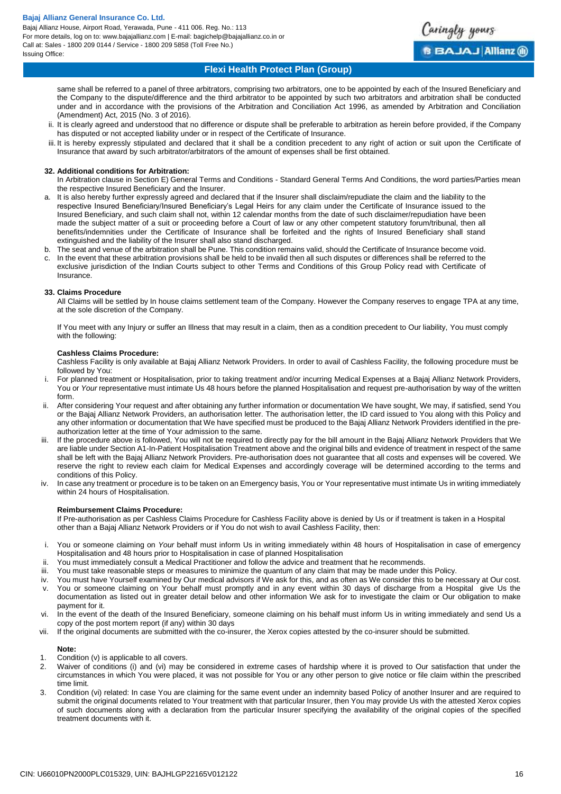Bajaj Allianz House, Airport Road, Yerawada, Pune - 411 006. Reg. No.: 113 For more details, log on to: www.bajajallianz.com | E-mail: bagichelp@bajajallianz.co.in or Call at: Sales - 1800 209 0144 / Service - 1800 209 5858 (Toll Free No.) Issuing Office:



same shall be referred to a panel of three arbitrators, comprising two arbitrators, one to be appointed by each of the Insured Beneficiary and the Company to the dispute/difference and the third arbitrator to be appointed by such two arbitrators and arbitration shall be conducted under and in accordance with the provisions of the Arbitration and Conciliation Act 1996, as amended by Arbitration and Conciliation (Amendment) Act, 2015 (No. 3 of 2016).

aringly yours

**B BAJAJ Allianz @** 

- ii. It is clearly agreed and understood that no difference or dispute shall be preferable to arbitration as herein before provided, if the Company has disputed or not accepted liability under or in respect of the Certificate of Insurance.
- iii. It is hereby expressly stipulated and declared that it shall be a condition precedent to any right of action or suit upon the Certificate of Insurance that award by such arbitrator/arbitrators of the amount of expenses shall be first obtained.

## **32. Additional conditions for Arbitration:**

In Arbitration clause in Section E) General Terms and Conditions - Standard General Terms And Conditions, the word parties/Parties mean the respective Insured Beneficiary and the Insurer.

- a. It is also hereby further expressly agreed and declared that if the Insurer shall disclaim/repudiate the claim and the liability to the respective Insured Beneficiary/Insured Beneficiary's Legal Heirs for any claim under the Certificate of Insurance issued to the Insured Beneficiary, and such claim shall not, within 12 calendar months from the date of such disclaimer/repudiation have been made the subject matter of a suit or proceeding before a Court of law or any other competent statutory forum/tribunal, then all benefits/indemnities under the Certificate of Insurance shall be forfeited and the rights of Insured Beneficiary shall stand extinguished and the liability of the Insurer shall also stand discharged.
- b. The seat and venue of the arbitration shall be Pune. This condition remains valid, should the Certificate of Insurance become void.
- In the event that these arbitration provisions shall be held to be invalid then all such disputes or differences shall be referred to the exclusive jurisdiction of the Indian Courts subject to other Terms and Conditions of this Group Policy read with Certificate of Insurance.

### **33. Claims Procedure**

All Claims will be settled by In house claims settlement team of the Company. However the Company reserves to engage TPA at any time, at the sole discretion of the Company.

If You meet with any Injury or suffer an Illness that may result in a claim, then as a condition precedent to Our liability, You must comply with the following:

### **Cashless Claims Procedure:**

Cashless Facility is only available at Bajaj Allianz Network Providers. In order to avail of Cashless Facility, the following procedure must be followed by You:

- i. For planned treatment or Hospitalisation, prior to taking treatment and/or incurring Medical Expenses at a Bajaj Allianz Network Providers, You or *Your* representative must intimate Us 48 hours before the planned Hospitalisation and request pre-authorisation by way of the written form.
- ii. After considering Your request and after obtaining any further information or documentation We have sought, We may, if satisfied, send You or the Bajaj Allianz Network Providers, an authorisation letter. The authorisation letter, the ID card issued to You along with this Policy and any other information or documentation that We have specified must be produced to the Bajaj Allianz Network Providers identified in the preauthorization letter at the time of Your admission to the same.
- If the procedure above is followed. You will not be required to directly pay for the bill amount in the Bajaj Allianz Network Providers that We are liable under Section A1-In-Patient Hospitalisation Treatment above and the original bills and evidence of treatment in respect of the same shall be left with the Bajaj Allianz Network Providers. Pre-authorisation does not guarantee that all costs and expenses will be covered. We reserve the right to review each claim for Medical Expenses and accordingly coverage will be determined according to the terms and conditions of this Policy.
- iv. In case any treatment or procedure is to be taken on an Emergency basis, You or Your representative must intimate Us in writing immediately within 24 hours of Hospitalisation.

# **Reimbursement Claims Procedure:**

If Pre-authorisation as per Cashless Claims Procedure for Cashless Facility above is denied by Us or if treatment is taken in a Hospital other than a Bajaj Allianz Network Providers or if You do not wish to avail Cashless Facility, then:

- i. You or someone claiming on *Your* behalf must inform Us in writing immediately within 48 hours of Hospitalisation in case of emergency Hospitalisation and 48 hours prior to Hospitalisation in case of planned Hospitalisation
- ii. You must immediately consult a Medical Practitioner and follow the advice and treatment that he recommends.
- You must take reasonable steps or measures to minimize the quantum of any claim that may be made under this Policy.
- iv. You must have Yourself examined by Our medical advisors if We ask for this, and as often as We consider this to be necessary at Our cost.
- v. You or someone claiming on Your behalf must promptly and in any event within 30 days of discharge from a Hospital give Us the documentation as listed out in greater detail below and other information We ask for to investigate the claim or Our obligation to make payment for it.
- vi. In the event of the death of the Insured Beneficiary, someone claiming on his behalf must inform Us in writing immediately and send Us a copy of the post mortem report (if any) within 30 days
- vii. If the original documents are submitted with the co-insurer, the Xerox copies attested by the co-insurer should be submitted.

# **Note:**

- 1. Condition (v) is applicable to all covers.<br>2. Waiver of conditions (i) and (vi) may l
- Waiver of conditions (i) and (vi) may be considered in extreme cases of hardship where it is proved to Our satisfaction that under the circumstances in which You were placed, it was not possible for You or any other person to give notice or file claim within the prescribed time limit.
- 3. Condition (vi) related: In case You are claiming for the same event under an indemnity based Policy of another Insurer and are required to submit the original documents related to Your treatment with that particular Insurer, then You may provide Us with the attested Xerox copies of such documents along with a declaration from the particular Insurer specifying the availability of the original copies of the specified treatment documents with it.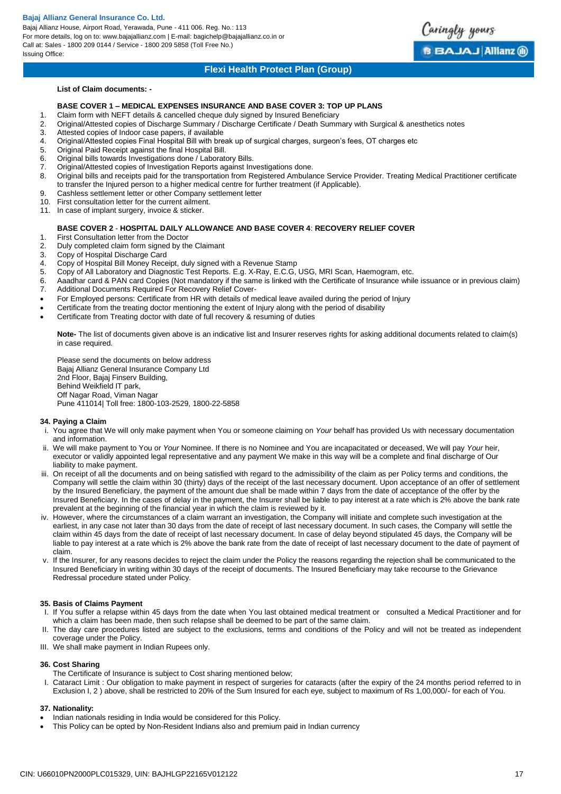Bajaj Allianz House, Airport Road, Yerawada, Pune - 411 006. Reg. No.: 113 For more details, log on to: www.bajajallianz.com | E-mail: bagichelp@bajajallianz.co.in or Call at: Sales - 1800 209 0144 / Service - 1800 209 5858 (Toll Free No.) Issuing Office:

# **Flexi Health Protect Plan (Group)**

Caringly yours

**BBAJAJ Allianz ®** 

# **List of Claim documents: -**

# **BASE COVER 1 – MEDICAL EXPENSES INSURANCE AND BASE COVER 3: TOP UP PLANS**

- 1. Claim form with NEFT details & cancelled cheque duly signed by Insured Beneficiary
- 2. Original/Attested copies of Discharge Summary / Discharge Certificate / Death Summary with Surgical & anesthetics notes<br>3. Attested copies of Indoor case papers, if available
- 3. Attested copies of Indoor case papers, if available
- 4. Original/Attested copies Final Hospital Bill with break up of surgical charges, surgeon's fees, OT charges etc
- 5. Original Paid Receipt against the final Hospital Bill.
- 6. Original bills towards Investigations done / Laboratory Bills.
- 7. Original/Attested copies of Investigation Reports against Investigations done.
- 8. Original bills and receipts paid for the transportation from Registered Ambulance Service Provider. Treating Medical Practitioner certificate to transfer the Injured person to a higher medical centre for further treatment (if Applicable).
- 9. Cashless settlement letter or other Company settlement letter 10. First consultation letter for the current ailment.
- First consultation letter for the current ailment.
- 11. In case of implant surgery, invoice & sticker.

# **BASE COVER 2** - **HOSPITAL DAILY ALLOWANCE AND BASE COVER 4**: **RECOVERY RELIEF COVER**

- 1. First Consultation letter from the Doctor
- 2. Duly completed claim form signed by the Claimant
- 3. Copy of Hospital Discharge Card<br>4. Copy of Hospital Bill Money Rece
- 4. Copy of Hospital Bill Money Receipt, duly signed with a Revenue Stamp
- 5. Copy of All Laboratory and Diagnostic Test Reports. E.g. X-Ray, E.C.G, USG, MRI Scan, Haemogram, etc.
- 6. Aaadhar card & PAN card Copies (Not mandatory if the same is linked with the Certificate of Insurance while issuance or in previous claim) 7. Additional Documents Required For Recovery Relief Cover-
- For Employed persons: Certificate from HR with details of medical leave availed during the period of Injury
- Certificate from the treating doctor mentioning the extent of Injury along with the period of disability
- Certificate from Treating doctor with date of full recovery & resuming of duties

**Note-** The list of documents given above is an indicative list and Insurer reserves rights for asking additional documents related to claim(s) in case required.

Please send the documents on below address Bajaj Allianz General Insurance Company Ltd 2nd Floor, Bajaj Finserv Building, Behind Weikfield IT park, Off Nagar Road, Viman Nagar Pune 411014| Toll free: 1800-103-2529, 1800-22-5858

# **34. Paying a Claim**

- i. You agree that We will only make payment when You or someone claiming on *Your* behalf has provided Us with necessary documentation and information.
- ii. We will make payment to You or *Your* Nominee. If there is no Nominee and You are incapacitated or deceased, We will pay *Your* heir, executor or validly appointed legal representative and any payment We make in this way will be a complete and final discharge of Our liability to make payment.
- iii. On receipt of all the documents and on being satisfied with regard to the admissibility of the claim as per Policy terms and conditions, the Company will settle the claim within 30 (thirty) days of the receipt of the last necessary document. Upon acceptance of an offer of settlement by the Insured Beneficiary, the payment of the amount due shall be made within 7 days from the date of acceptance of the offer by the Insured Beneficiary. In the cases of delay in the payment, the Insurer shall be liable to pay interest at a rate which is 2% above the bank rate prevalent at the beginning of the financial year in which the claim is reviewed by it.
- iv. However, where the circumstances of a claim warrant an investigation, the Company will initiate and complete such investigation at the earliest, in any case not later than 30 days from the date of receipt of last necessary document. In such cases, the Company will settle the claim within 45 days from the date of receipt of last necessary document. In case of delay beyond stipulated 45 days, the Company will be liable to pay interest at a rate which is 2% above the bank rate from the date of receipt of last necessary document to the date of payment of claim.
- v. If the Insurer, for any reasons decides to reject the claim under the Policy the reasons regarding the rejection shall be communicated to the Insured Beneficiary in writing within 30 days of the receipt of documents. The Insured Beneficiary may take recourse to the Grievance Redressal procedure stated under Policy.

# **35. Basis of Claims Payment**

- I. If You suffer a relapse within 45 days from the date when You last obtained medical treatment or consulted a Medical Practitioner and for which a claim has been made, then such relapse shall be deemed to be part of the same claim.
- The day care procedures listed are subject to the exclusions, terms and conditions of the Policy and will not be treated as independent coverage under the Policy.
- III. We shall make payment in Indian Rupees only.

# **36. Cost Sharing**

- The Certificate of Insurance is subject to Cost sharing mentioned below;
- Cataract Limit : Our obligation to make payment in respect of surgeries for cataracts (after the expiry of the 24 months period referred to in Exclusion I, 2 ) above, shall be restricted to 20% of the Sum Insured for each eye, subject to maximum of Rs 1,00,000/- for each of You.

# **37. Nationality:**

- Indian nationals residing in India would be considered for this Policy.
- This Policy can be opted by Non-Resident Indians also and premium paid in Indian currency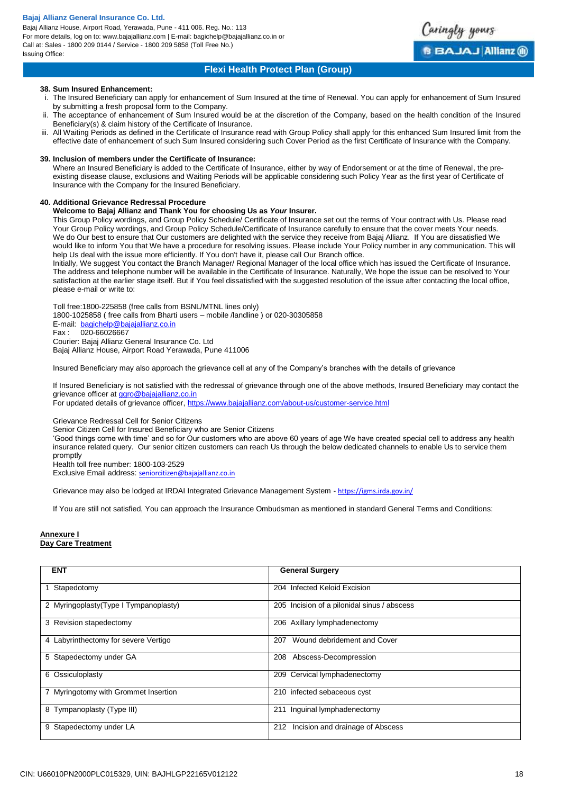Bajaj Allianz House, Airport Road, Yerawada, Pune - 411 006. Reg. No.: 113 For more details, log on to: www.bajajallianz.com | E-mail: bagichelp@bajajallianz.co.in or Call at: Sales - 1800 209 0144 / Service - 1800 209 5858 (Toll Free No.) Issuing Office:



# **Flexi Health Protect Plan (Group)**

## **38. Sum Insured Enhancement:**

- The Insured Beneficiary can apply for enhancement of Sum Insured at the time of Renewal. You can apply for enhancement of Sum Insured by submitting a fresh proposal form to the Company.
- ii. The acceptance of enhancement of Sum Insured would be at the discretion of the Company, based on the health condition of the Insured Beneficiary(s) & claim history of the Certificate of Insurance.
- All Waiting Periods as defined in the Certificate of Insurance read with Group Policy shall apply for this enhanced Sum Insured limit from the effective date of enhancement of such Sum Insured considering such Cover Period as the first Certificate of Insurance with the Company.

## **39. Inclusion of members under the Certificate of Insurance:**

Where an Insured Beneficiary is added to the Certificate of Insurance, either by way of Endorsement or at the time of Renewal, the preexisting disease clause, exclusions and Waiting Periods will be applicable considering such Policy Year as the first year of Certificate of Insurance with the Company for the Insured Beneficiary.

# **40. Additional Grievance Redressal Procedure**

# **Welcome to Bajaj Allianz and Thank You for choosing Us as** *Your* **Insurer.**

This Group Policy wordings, and Group Policy Schedule/ Certificate of Insurance set out the terms of Your contract with Us. Please read Your Group Policy wordings, and Group Policy Schedule/Certificate of Insurance carefully to ensure that the cover meets Your needs. We do Our best to ensure that Our customers are delighted with the service they receive from Bajaj Allianz. If You are dissatisfied We would like to inform You that We have a procedure for resolving issues. Please include Your Policy number in any communication. This will help Us deal with the issue more efficiently. If You don't have it, please call Our Branch office.

Initially, We suggest You contact the Branch Manager/ Regional Manager of the local office which has issued the Certificate of Insurance. The address and telephone number will be available in the Certificate of Insurance. Naturally, We hope the issue can be resolved to Your satisfaction at the earlier stage itself. But if You feel dissatisfied with the suggested resolution of the issue after contacting the local office, please e-mail or write to:

Toll free:1800-225858 (free calls from BSNL/MTNL lines only) 1800-1025858 ( free calls from Bharti users – mobile /landline ) or 020-30305858 E-mail: [bagichelp@bajajallianz.co.in](mailto:customercare@bajajallianz.co.in) Fax : 020-66026667 Courier: Bajaj Allianz General Insurance Co. Ltd Bajaj Allianz House, Airport Road Yerawada, Pune 411006

Insured Beneficiary may also approach the grievance cell at any of the Company's branches with the details of grievance

If Insured Beneficiary is not satisfied with the redressal of grievance through one of the above methods, Insured Beneficiary may contact the grievance officer at [ggro@bajajallianz.co.in](mailto:ggro@bajajallianz.co.in)

For updated details of grievance officer,<https://www.bajajallianz.com/about-us/customer-service.html>

Grievance Redressal Cell for Senior Citizens

Senior Citizen Cell for Insured Beneficiary who are Senior Citizens

'Good things come with time' and so for Our customers who are above 60 years of age We have created special cell to address any health insurance related query. Our senior citizen customers can reach Us through the below dedicated channels to enable Us to service them promptly

Health toll free number: 1800-103-2529

Exclusive Email address: [seniorcitizen@bajajallianz.co.in](mailto:seniorcitizen@bajajallianz.co.in)

Grievance may also be lodged at IRDAI Integrated Grievance Management System - <https://igms.irda.gov.in/>

If You are still not satisfied, You can approach the Insurance Ombudsman as mentioned in standard General Terms and Conditions:

# **Annexure I Day Care Treatment**

| <b>ENT</b>                             | <b>General Surgery</b>                      |
|----------------------------------------|---------------------------------------------|
|                                        |                                             |
| Stapedotomy<br>1                       | 204 Infected Keloid Excision                |
|                                        |                                             |
| 2 Myringoplasty (Type I Tympanoplasty) | 205 Incision of a pilonidal sinus / abscess |
| 3 Revision stapedectomy                | 206 Axillary lymphadenectomy                |
|                                        |                                             |
| 4 Labyrinthectomy for severe Vertigo   | Wound debridement and Cover<br>207          |
|                                        |                                             |
| 5 Stapedectomy under GA                | 208<br>Abscess-Decompression                |
|                                        |                                             |
| 6 Ossiculoplasty                       | 209 Cervical lymphadenectomy                |
| 7 Myringotomy with Grommet Insertion   | 210 infected sebaceous cyst                 |
|                                        |                                             |
| 8 Tympanoplasty (Type III)             | 211 Inguinal lymphadenectomy                |
|                                        |                                             |
| Stapedectomy under LA<br>9             | Incision and drainage of Abscess<br>212     |
|                                        |                                             |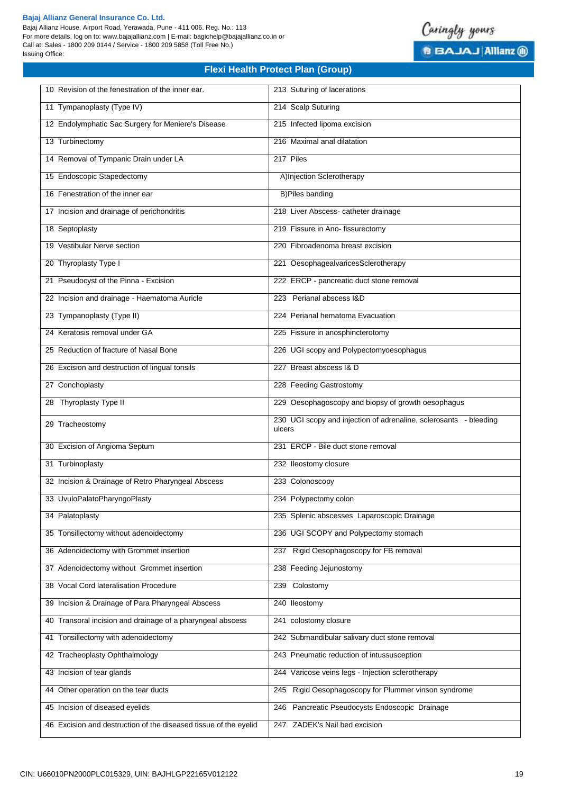Bajaj Allianz House, Airport Road, Yerawada, Pune - 411 006. Reg. No.: 113 For more details, log on to: www.bajajallianz.com | E-mail: bagichelp@bajajallianz.co.in or Call at: Sales - 1800 209 0144 / Service - 1800 209 5858 (Toll Free No.) Issuing Office:



| 10 Revision of the fenestration of the inner ear.          | 213 Suturing of lacerations                                                 |
|------------------------------------------------------------|-----------------------------------------------------------------------------|
| 11 Tympanoplasty (Type IV)                                 | 214 Scalp Suturing                                                          |
| 12 Endolymphatic Sac Surgery for Meniere's Disease         | 215 Infected lipoma excision                                                |
| 13 Turbinectomy                                            | 216 Maximal anal dilatation                                                 |
| 14 Removal of Tympanic Drain under LA                      | 217 Piles                                                                   |
| 15 Endoscopic Stapedectomy                                 | A)Injection Sclerotherapy                                                   |
| 16 Fenestration of the inner ear                           | <b>B)Piles banding</b>                                                      |
| 17 Incision and drainage of perichondritis                 | 218 Liver Abscess- catheter drainage                                        |
| 18 Septoplasty                                             | 219 Fissure in Ano- fissurectomy                                            |
| 19 Vestibular Nerve section                                | 220 Fibroadenoma breast excision                                            |
| 20 Thyroplasty Type I                                      | 221 OesophagealvaricesSclerotherapy                                         |
| 21 Pseudocyst of the Pinna - Excision                      | 222 ERCP - pancreatic duct stone removal                                    |
| 22 Incision and drainage - Haematoma Auricle               | 223 Perianal abscess I&D                                                    |
| 23 Tympanoplasty (Type II)                                 | 224 Perianal hematoma Evacuation                                            |
| 24 Keratosis removal under GA                              | 225 Fissure in anosphincterotomy                                            |
| 25 Reduction of fracture of Nasal Bone                     | 226 UGI scopy and Polypectomyoesophagus                                     |
| 26 Excision and destruction of lingual tonsils             | 227 Breast abscess I& D                                                     |
| 27 Conchoplasty                                            | 228 Feeding Gastrostomy                                                     |
| 28 Thyroplasty Type II                                     | 229 Oesophagoscopy and biopsy of growth oesophagus                          |
|                                                            |                                                                             |
| 29 Tracheostomy                                            | 230 UGI scopy and injection of adrenaline, sclerosants - bleeding<br>ulcers |
| 30 Excision of Angioma Septum                              | 231 ERCP - Bile duct stone removal                                          |
| 31 Turbinoplasty                                           | 232 Ileostomy closure                                                       |
| 32 Incision & Drainage of Retro Pharyngeal Abscess         | 233 Colonoscopy                                                             |
| 33 UvuloPalatoPharyngoPlasty                               | 234 Polypectomy colon                                                       |
| 34 Palatoplasty                                            | 235 Splenic abscesses Laparoscopic Drainage                                 |
| 35 Tonsillectomy without adenoidectomy                     | 236 UGI SCOPY and Polypectomy stomach                                       |
| 36 Adenoidectomy with Grommet insertion                    | 237 Rigid Oesophagoscopy for FB removal                                     |
| 37 Adenoidectomy without Grommet insertion                 | 238 Feeding Jejunostomy                                                     |
| 38 Vocal Cord lateralisation Procedure                     | 239 Colostomy                                                               |
| 39 Incision & Drainage of Para Pharyngeal Abscess          | 240 Ileostomy                                                               |
| 40 Transoral incision and drainage of a pharyngeal abscess | 241 colostomy closure                                                       |
| 41 Tonsillectomy with adenoidectomy                        | 242 Submandibular salivary duct stone removal                               |
| 42 Tracheoplasty Ophthalmology                             | 243 Pneumatic reduction of intussusception                                  |
| 43 Incision of tear glands                                 | 244 Varicose veins legs - Injection sclerotherapy                           |
| 44 Other operation on the tear ducts                       | 245 Rigid Oesophagoscopy for Plummer vinson syndrome                        |
| 45 Incision of diseased eyelids                            | 246 Pancreatic Pseudocysts Endoscopic Drainage                              |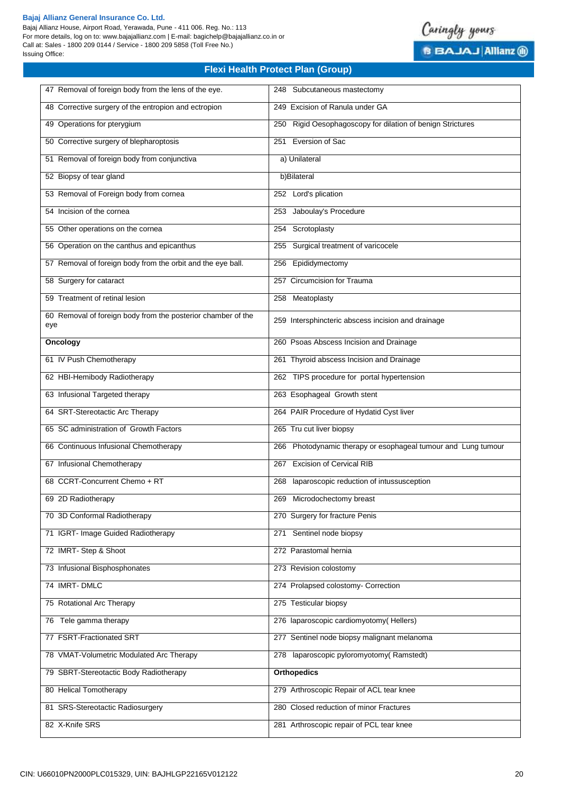Bajaj Allianz House, Airport Road, Yerawada, Pune - 411 006. Reg. No.: 113 For more details, log on to: www.bajajallianz.com | E-mail: bagichelp@bajajallianz.co.in or Call at: Sales - 1800 209 0144 / Service - 1800 209 5858 (Toll Free No.) Issuing Office:



| 47 Removal of foreign body from the lens of the eye.                | 248 Subcutaneous mastectomy                                   |
|---------------------------------------------------------------------|---------------------------------------------------------------|
| 48 Corrective surgery of the entropion and ectropion                | 249 Excision of Ranula under GA                               |
| 49 Operations for pterygium                                         | 250 Rigid Oesophagoscopy for dilation of benign Strictures    |
| 50 Corrective surgery of blepharoptosis                             | 251 Eversion of Sac                                           |
| 51 Removal of foreign body from conjunctiva                         | a) Unilateral                                                 |
| 52 Biopsy of tear gland                                             | b)Bilateral                                                   |
| 53 Removal of Foreign body from cornea                              | 252 Lord's plication                                          |
| 54 Incision of the cornea                                           | 253 Jaboulay's Procedure                                      |
| 55 Other operations on the cornea                                   | 254 Scrotoplasty                                              |
| 56 Operation on the canthus and epicanthus                          | 255 Surgical treatment of varicocele                          |
| 57 Removal of foreign body from the orbit and the eye ball.         | 256 Epididymectomy                                            |
| 58 Surgery for cataract                                             | 257 Circumcision for Trauma                                   |
| 59 Treatment of retinal lesion                                      | 258 Meatoplasty                                               |
| 60 Removal of foreign body from the posterior chamber of the<br>eye | 259 Intersphincteric abscess incision and drainage            |
| Oncology                                                            | 260 Psoas Abscess Incision and Drainage                       |
| 61 IV Push Chemotherapy                                             | 261 Thyroid abscess Incision and Drainage                     |
| 62 HBI-Hemibody Radiotherapy                                        | 262 TIPS procedure for portal hypertension                    |
| 63 Infusional Targeted therapy                                      | 263 Esophageal Growth stent                                   |
| 64 SRT-Stereotactic Arc Therapy                                     | 264 PAIR Procedure of Hydatid Cyst liver                      |
| 65 SC administration of Growth Factors                              | 265 Tru cut liver biopsy                                      |
| 66 Continuous Infusional Chemotherapy                               | 266 Photodynamic therapy or esophageal tumour and Lung tumour |
| 67 Infusional Chemotherapy                                          | 267 Excision of Cervical RIB                                  |
| 68 CCRT-Concurrent Chemo + RT                                       | laparoscopic reduction of intussusception<br>268              |
| 69 2D Radiotherapy                                                  | 269 Microdochectomy breast                                    |
| 70 3D Conformal Radiotherapy                                        | 270 Surgery for fracture Penis                                |
| 71 IGRT- Image Guided Radiotherapy                                  | 271 Sentinel node biopsy                                      |
| 72 IMRT-Step & Shoot                                                | 272 Parastomal hernia                                         |
| 73 Infusional Bisphosphonates                                       | 273 Revision colostomy                                        |
| 74 IMRT-DMLC                                                        | 274 Prolapsed colostomy- Correction                           |
| 75 Rotational Arc Therapy                                           | 275 Testicular biopsy                                         |
| 76 Tele gamma therapy                                               | 276 laparoscopic cardiomyotomy(Hellers)                       |
| 77 FSRT-Fractionated SRT                                            | 277 Sentinel node biopsy malignant melanoma                   |
| 78 VMAT-Volumetric Modulated Arc Therapy                            | 278 laparoscopic pyloromyotomy(Ramstedt)                      |
| 79 SBRT-Stereotactic Body Radiotherapy                              | <b>Orthopedics</b>                                            |
| 80 Helical Tomotherapy                                              | 279 Arthroscopic Repair of ACL tear knee                      |
| 81 SRS-Stereotactic Radiosurgery                                    | 280 Closed reduction of minor Fractures                       |
| 82 X-Knife SRS                                                      | 281 Arthroscopic repair of PCL tear knee                      |
|                                                                     |                                                               |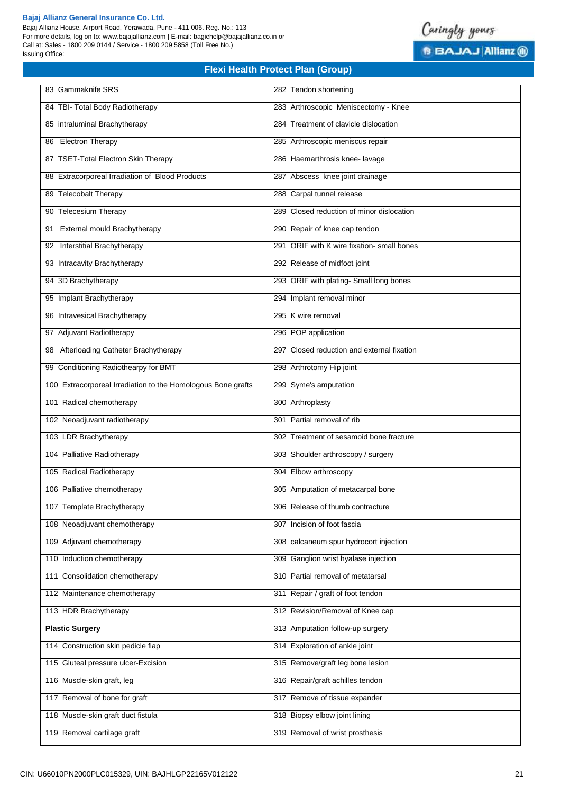Bajaj Allianz House, Airport Road, Yerawada, Pune - 411 006. Reg. No.: 113 For more details, log on to: www.bajajallianz.com | E-mail: bagichelp@bajajallianz.co.in or Call at: Sales - 1800 209 0144 / Service - 1800 209 5858 (Toll Free No.) Issuing Office:



| 83 Gammaknife SRS                                            | 282 Tendon shortening                      |
|--------------------------------------------------------------|--------------------------------------------|
| 84 TBI- Total Body Radiotherapy                              | 283 Arthroscopic Meniscectomy - Knee       |
| 85 intraluminal Brachytherapy                                | 284 Treatment of clavicle dislocation      |
| 86 Electron Therapy                                          | 285 Arthroscopic meniscus repair           |
| 87 TSET-Total Electron Skin Therapy                          | 286 Haemarthrosis knee- lavage             |
| 88 Extracorporeal Irradiation of Blood Products              | 287 Abscess knee joint drainage            |
| 89 Telecobalt Therapy                                        | 288 Carpal tunnel release                  |
| 90 Telecesium Therapy                                        | 289 Closed reduction of minor dislocation  |
| External mould Brachytherapy<br>91                           | 290 Repair of knee cap tendon              |
| 92 Interstitial Brachytherapy                                | 291 ORIF with K wire fixation- small bones |
| 93 Intracavity Brachytherapy                                 | 292 Release of midfoot joint               |
| 94 3D Brachytherapy                                          | 293 ORIF with plating- Small long bones    |
| 95 Implant Brachytherapy                                     | 294 Implant removal minor                  |
| 96 Intravesical Brachytherapy                                | 295 K wire removal                         |
| 97 Adjuvant Radiotherapy                                     | 296 POP application                        |
| 98 Afterloading Catheter Brachytherapy                       | 297 Closed reduction and external fixation |
| 99 Conditioning Radiothearpy for BMT                         | 298 Arthrotomy Hip joint                   |
| 100 Extracorporeal Irradiation to the Homologous Bone grafts | 299 Syme's amputation                      |
| 101 Radical chemotherapy                                     | 300 Arthroplasty                           |
| 102 Neoadjuvant radiotherapy                                 | 301 Partial removal of rib                 |
| 103 LDR Brachytherapy                                        | 302 Treatment of sesamoid bone fracture    |
| 104 Palliative Radiotherapy                                  | 303 Shoulder arthroscopy / surgery         |
| 105 Radical Radiotherapy                                     | 304 Elbow arthroscopy                      |
| 106 Palliative chemotherapy                                  | 305 Amputation of metacarpal bone          |
| 107 Template Brachytherapy                                   | 306 Release of thumb contracture           |
| 108 Neoadjuvant chemotherapy                                 | 307 Incision of foot fascia                |
| 109 Adjuvant chemotherapy                                    | 308 calcaneum spur hydrocort injection     |
| 110 Induction chemotherapy                                   | 309 Ganglion wrist hyalase injection       |
| 111 Consolidation chemotherapy                               | 310 Partial removal of metatarsal          |
| 112 Maintenance chemotherapy                                 | 311 Repair / graft of foot tendon          |
| 113 HDR Brachytherapy                                        | 312 Revision/Removal of Knee cap           |
| <b>Plastic Surgery</b>                                       | 313 Amputation follow-up surgery           |
| 114 Construction skin pedicle flap                           | 314 Exploration of ankle joint             |
| 115 Gluteal pressure ulcer-Excision                          | 315 Remove/graft leg bone lesion           |
| 116 Muscle-skin graft, leg                                   | 316 Repair/graft achilles tendon           |
| 117 Removal of bone for graft                                | 317 Remove of tissue expander              |
| 118 Muscle-skin graft duct fistula                           | 318 Biopsy elbow joint lining              |
| 119 Removal cartilage graft                                  | 319 Removal of wrist prosthesis            |
|                                                              |                                            |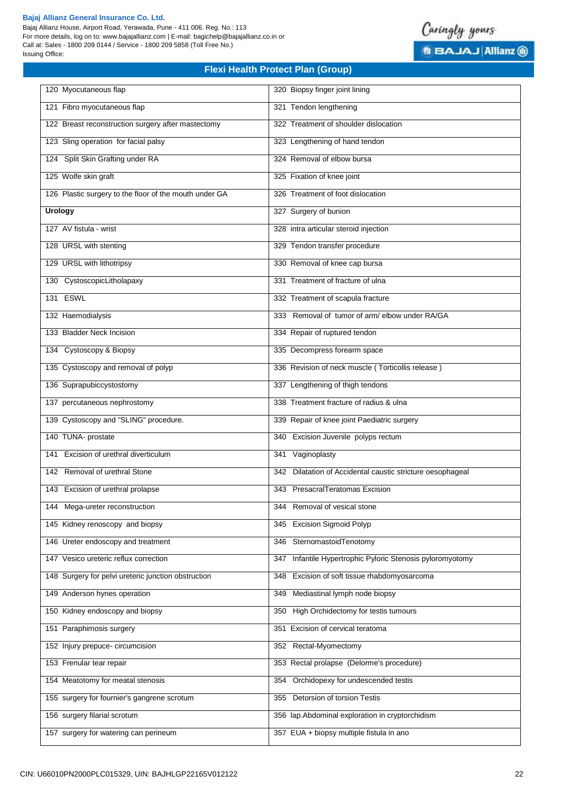Bajaj Allianz House, Airport Road, Yerawada, Pune - 411 006. Reg. No.: 113 For more details, log on to: www.bajajallianz.com | E-mail: bagichelp@bajajallianz.co.in or Call at: Sales - 1800 209 0144 / Service - 1800 209 5858 (Toll Free No.) Issuing Office:



| 120 Myocutaneous flap                                  | 320 Biopsy finger joint lining                               |
|--------------------------------------------------------|--------------------------------------------------------------|
| 121 Fibro myocutaneous flap                            | 321 Tendon lengthening                                       |
| 122 Breast reconstruction surgery after mastectomy     | 322 Treatment of shoulder dislocation                        |
| 123 Sling operation for facial palsy                   | 323 Lengthening of hand tendon                               |
| 124 Split Skin Grafting under RA                       | 324 Removal of elbow bursa                                   |
| 125 Wolfe skin graft                                   | 325 Fixation of knee joint                                   |
| 126 Plastic surgery to the floor of the mouth under GA | 326 Treatment of foot dislocation                            |
| <b>Urology</b>                                         | 327 Surgery of bunion                                        |
| 127 AV fistula - wrist                                 | 328 intra articular steroid injection                        |
| 128 URSL with stenting                                 | 329 Tendon transfer procedure                                |
| 129 URSL with lithotripsy                              | 330 Removal of knee cap bursa                                |
| 130 CystoscopicLitholapaxy                             | 331 Treatment of fracture of ulna                            |
| 131 ESWL                                               | 332 Treatment of scapula fracture                            |
| 132 Haemodialysis                                      | 333 Removal of tumor of arm/ elbow under RA/GA               |
| 133 Bladder Neck Incision                              | 334 Repair of ruptured tendon                                |
| 134 Cystoscopy & Biopsy                                | 335 Decompress forearm space                                 |
| 135 Cystoscopy and removal of polyp                    | 336 Revision of neck muscle (Torticollis release)            |
| 136 Suprapubiccystostomy                               | 337 Lengthening of thigh tendons                             |
| 137 percutaneous nephrostomy                           | 338 Treatment fracture of radius & ulna                      |
| 139 Cystoscopy and "SLING" procedure.                  | 339 Repair of knee joint Paediatric surgery                  |
| 140 TUNA- prostate                                     | 340 Excision Juvenile polyps rectum                          |
| 141 Excision of urethral diverticulum                  | 341 Vaginoplasty                                             |
| 142 Removal of urethral Stone                          | 342 Dilatation of Accidental caustic stricture oesophageal   |
| 143 Excision of urethral prolapse                      | 343 PresacralTeratomas Excision                              |
| 144 Mega-ureter reconstruction                         | 344 Removal of vesical stone                                 |
| 145 Kidney renoscopy and biopsy                        | 345 Excision Sigmoid Polyp                                   |
| 146 Ureter endoscopy and treatment                     | 346 SternomastoidTenotomy                                    |
| 147 Vesico ureteric reflux correction                  | Infantile Hypertrophic Pyloric Stenosis pyloromyotomy<br>347 |
| 148 Surgery for pelvi ureteric junction obstruction    | 348 Excision of soft tissue rhabdomyosarcoma                 |
| 149 Anderson hynes operation                           | Mediastinal lymph node biopsy<br>349                         |
| 150 Kidney endoscopy and biopsy                        | 350 High Orchidectomy for testis tumours                     |
| 151 Paraphimosis surgery                               | 351 Excision of cervical teratoma                            |
| 152 Injury prepuce-circumcision                        | 352 Rectal-Myomectomy                                        |
| 153 Frenular tear repair                               | 353 Rectal prolapse (Delorme's procedure)                    |
| 154 Meatotomy for meatal stenosis                      | Orchidopexy for undescended testis<br>354                    |
| 155 surgery for fournier's gangrene scrotum            | 355 Detorsion of torsion Testis                              |
| 156 surgery filarial scrotum                           | 356 lap.Abdominal exploration in cryptorchidism              |
| 157 surgery for watering can perineum                  | 357 EUA + biopsy multiple fistula in ano                     |
|                                                        |                                                              |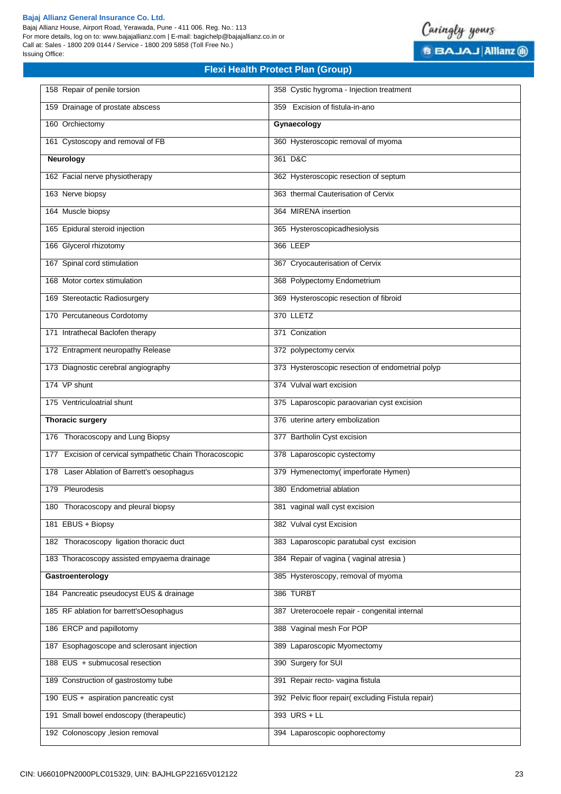Bajaj Allianz House, Airport Road, Yerawada, Pune - 411 006. Reg. No.: 113 For more details, log on to: www.bajajallianz.com | E-mail: bagichelp@bajajallianz.co.in or Call at: Sales - 1800 209 0144 / Service - 1800 209 5858 (Toll Free No.) Issuing Office:



| 158 Repair of penile torsion                             | 358 Cystic hygroma - Injection treatment          |
|----------------------------------------------------------|---------------------------------------------------|
| 159 Drainage of prostate abscess                         | 359 Excision of fistula-in-ano                    |
| 160 Orchiectomy                                          | Gynaecology                                       |
| 161 Cystoscopy and removal of FB                         | 360 Hysteroscopic removal of myoma                |
| Neurology                                                | 361 D&C                                           |
| 162 Facial nerve physiotherapy                           | 362 Hysteroscopic resection of septum             |
| 163 Nerve biopsy                                         | 363 thermal Cauterisation of Cervix               |
| 164 Muscle biopsy                                        | 364 MIRENA insertion                              |
| 165 Epidural steroid injection                           | 365 Hysteroscopicadhesiolysis                     |
| 166 Glycerol rhizotomy                                   | 366 LEEP                                          |
| 167 Spinal cord stimulation                              | 367 Cryocauterisation of Cervix                   |
| 168 Motor cortex stimulation                             | 368 Polypectomy Endometrium                       |
| 169 Stereotactic Radiosurgery                            | 369 Hysteroscopic resection of fibroid            |
| 170 Percutaneous Cordotomy                               | 370 LLETZ                                         |
| 171 Intrathecal Baclofen therapy                         | 371 Conization                                    |
| 172 Entrapment neuropathy Release                        | 372 polypectomy cervix                            |
| 173 Diagnostic cerebral angiography                      | 373 Hysteroscopic resection of endometrial polyp  |
| 174 VP shunt                                             | 374 Vulval wart excision                          |
| 175 Ventriculoatrial shunt                               | 375 Laparoscopic paraovarian cyst excision        |
| <b>Thoracic surgery</b>                                  | 376 uterine artery embolization                   |
| 176 Thoracoscopy and Lung Biopsy                         | 377 Bartholin Cyst excision                       |
| 177 Excision of cervical sympathetic Chain Thoracoscopic | 378 Laparoscopic cystectomy                       |
| 178 Laser Ablation of Barrett's oesophagus               | 379 Hymenectomy(imperforate Hymen)                |
| 179 Pleurodesis                                          | 380 Endometrial ablation                          |
| 180 Thoracoscopy and pleural biopsy                      | 381 vaginal wall cyst excision                    |
| 181 EBUS + Biopsy                                        | 382 Vulval cyst Excision                          |
| 182 Thoracoscopy ligation thoracic duct                  | 383 Laparoscopic paratubal cyst excision          |
| 183 Thoracoscopy assisted empyaema drainage              | 384 Repair of vagina (vaginal atresia)            |
| Gastroenterology                                         | 385 Hysteroscopy, removal of myoma                |
| 184 Pancreatic pseudocyst EUS & drainage                 | 386 TURBT                                         |
| 185 RF ablation for barrett'sOesophagus                  | 387 Ureterocoele repair - congenital internal     |
| 186 ERCP and papillotomy                                 | 388 Vaginal mesh For POP                          |
| 187 Esophagoscope and sclerosant injection               | 389 Laparoscopic Myomectomy                       |
| 188 EUS + submucosal resection                           | 390 Surgery for SUI                               |
| 189 Construction of gastrostomy tube                     | 391 Repair recto- vagina fistula                  |
| 190 EUS + aspiration pancreatic cyst                     | 392 Pelvic floor repair(excluding Fistula repair) |
| 191 Small bowel endoscopy (therapeutic)                  | 393 URS + LL                                      |
| 192 Colonoscopy , lesion removal                         | 394 Laparoscopic oophorectomy                     |
|                                                          |                                                   |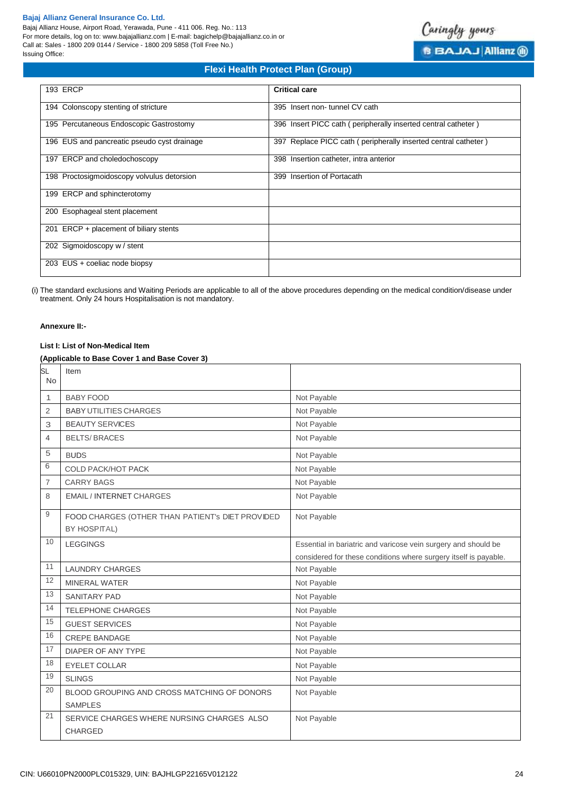Bajaj Allianz House, Airport Road, Yerawada, Pune - 411 006. Reg. No.: 113 For more details, log on to: www.bajajallianz.com | E-mail: bagichelp@bajajallianz.co.in or Call at: Sales - 1800 209 0144 / Service - 1800 209 5858 (Toll Free No.) Issuing Office:



# **Flexi Health Protect Plan (Group)**

| <b>193 ERCP</b>                             | <b>Critical care</b>                                           |
|---------------------------------------------|----------------------------------------------------------------|
| 194 Colonscopy stenting of stricture        | 395 Insert non-tunnel CV cath                                  |
| 195 Percutaneous Endoscopic Gastrostomy     | 396 Insert PICC cath (peripherally inserted central catheter)  |
| 196 EUS and pancreatic pseudo cyst drainage | 397 Replace PICC cath (peripherally inserted central catheter) |
| 197 ERCP and choledochoscopy                | 398 Insertion catheter, intra anterior                         |
| 198 Proctosigmoidoscopy volvulus detorsion  | 399 Insertion of Portacath                                     |
| 199 ERCP and sphincterotomy                 |                                                                |
| 200 Esophageal stent placement              |                                                                |
| 201 ERCP + placement of biliary stents      |                                                                |
| 202 Sigmoidoscopy w / stent                 |                                                                |
| 203 EUS + coeliac node biopsy               |                                                                |

(i) The standard exclusions and Waiting Periods are applicable to all of the above procedures depending on the medical condition/disease under treatment. Only 24 hours Hospitalisation is not mandatory.

# **Annexure II:-**

# **List I: List of Non-Medical Item**

# **(Applicable to Base Cover 1 and Base Cover 3)**

| <b>SL</b><br><b>No</b> | Item                                                          |                                                                  |
|------------------------|---------------------------------------------------------------|------------------------------------------------------------------|
| 1                      | <b>BABY FOOD</b>                                              | Not Payable                                                      |
| $\overline{2}$         | <b>BABY UTILITIES CHARGES</b>                                 | Not Payable                                                      |
| 3                      | <b>BEAUTY SERVICES</b>                                        | Not Payable                                                      |
| 4                      | <b>BELTS/BRACES</b>                                           | Not Payable                                                      |
| 5                      | <b>BUDS</b>                                                   | Not Payable                                                      |
| 6                      | <b>COLD PACK/HOT PACK</b>                                     | Not Payable                                                      |
| $\overline{7}$         | <b>CARRY BAGS</b>                                             | Not Payable                                                      |
| 8                      | <b>EMAIL / INTERNET CHARGES</b>                               | Not Payable                                                      |
| 9                      | FOOD CHARGES (OTHER THAN PATIENT's DIET PROVIDED              | Not Payable                                                      |
|                        | <b>BY HOSPITAL)</b>                                           |                                                                  |
| 10                     | <b>LEGGINGS</b>                                               | Essential in bariatric and varicose vein surgery and should be   |
|                        |                                                               | considered for these conditions where surgery itself is payable. |
| 11                     | <b>LAUNDRY CHARGES</b>                                        | Not Payable                                                      |
| 12                     | <b>MINERAL WATER</b>                                          | Not Payable                                                      |
| 13                     | <b>SANITARY PAD</b>                                           | Not Payable                                                      |
| 14                     | <b>TELEPHONE CHARGES</b>                                      | Not Payable                                                      |
| 15                     | <b>GUEST SERVICES</b>                                         | Not Payable                                                      |
| 16                     | CREPE BANDAGE                                                 | Not Payable                                                      |
| 17                     | DIAPER OF ANY TYPE                                            | Not Payable                                                      |
| 18                     | EYELET COLLAR                                                 | Not Payable                                                      |
| 19                     | <b>SLINGS</b>                                                 | Not Payable                                                      |
| 20                     | BLOOD GROUPING AND CROSS MATCHING OF DONORS<br><b>SAMPLES</b> | Not Payable                                                      |
| 21                     | SERVICE CHARGES WHERE NURSING CHARGES ALSO<br><b>CHARGED</b>  | Not Payable                                                      |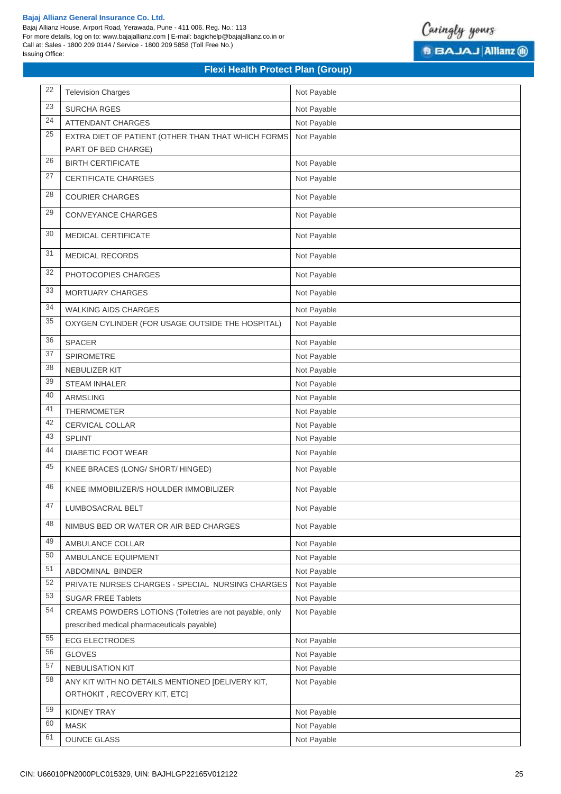Bajaj Allianz House, Airport Road, Yerawada, Pune - 411 006. Reg. No.: 113 For more details, log on to: www.bajajallianz.com | E-mail: bagichelp@bajajallianz.co.in or Call at: Sales - 1800 209 0144 / Service - 1800 209 5858 (Toll Free No.) Issuing Office:



| 22 | <b>Television Charges</b>                                                                               | Not Payable |
|----|---------------------------------------------------------------------------------------------------------|-------------|
| 23 | <b>SURCHA RGES</b>                                                                                      | Not Payable |
| 24 | <b>ATTENDANT CHARGES</b>                                                                                | Not Payable |
| 25 | EXTRA DIET OF PATIENT (OTHER THAN THAT WHICH FORMS                                                      | Not Payable |
|    | PART OF BED CHARGE)                                                                                     |             |
| 26 | <b>BIRTH CERTIFICATE</b>                                                                                | Not Payable |
| 27 | CERTIFICATE CHARGES                                                                                     | Not Payable |
| 28 | <b>COURIER CHARGES</b>                                                                                  | Not Payable |
| 29 | CONVEYANCE CHARGES                                                                                      | Not Payable |
| 30 | MEDICAL CERTIFICATE                                                                                     | Not Payable |
| 31 | MEDICAL RECORDS                                                                                         | Not Payable |
| 32 | PHOTOCOPIES CHARGES                                                                                     | Not Payable |
| 33 | <b>MORTUARY CHARGES</b>                                                                                 | Not Payable |
| 34 | <b>WALKING AIDS CHARGES</b>                                                                             | Not Payable |
| 35 | OXYGEN CYLINDER (FOR USAGE OUTSIDE THE HOSPITAL)                                                        | Not Payable |
| 36 | SPACER                                                                                                  | Not Payable |
| 37 | <b>SPIROMETRE</b>                                                                                       | Not Payable |
| 38 | NEBULIZER KIT                                                                                           | Not Payable |
| 39 | <b>STEAM INHALER</b>                                                                                    | Not Payable |
| 40 | <b>ARMSLING</b>                                                                                         | Not Payable |
| 41 | THERMOMETER                                                                                             | Not Payable |
| 42 | CERVICAL COLLAR                                                                                         | Not Payable |
| 43 | <b>SPLINT</b>                                                                                           | Not Payable |
| 44 | DIABETIC FOOT WEAR                                                                                      | Not Payable |
| 45 | KNEE BRACES (LONG/ SHORT/ HINGED)                                                                       | Not Payable |
| 46 | KNEE IMMOBILIZER/S HOULDER IMMOBILIZER                                                                  | Not Payable |
| 47 | LUMBOSACRAL BELT                                                                                        | Not Payable |
| 48 | NIMBUS BED OR WATER OR AIR BED CHARGES                                                                  | Not Payable |
| 49 | AMBULANCE COLLAR                                                                                        | Not Payable |
| 50 | AMBULANCE EQUIPMENT                                                                                     | Not Payable |
| 51 | ABDOMINAL BINDER                                                                                        | Not Payable |
| 52 | PRIVATE NURSES CHARGES - SPECIAL NURSING CHARGES                                                        | Not Payable |
| 53 | SUGAR FREE Tablets                                                                                      | Not Payable |
| 54 | CREAMS POWDERS LOTIONS (Toiletries are not payable, only<br>prescribed medical pharmaceuticals payable) | Not Payable |
| 55 | <b>ECG ELECTRODES</b>                                                                                   | Not Payable |
| 56 | <b>GLOVES</b>                                                                                           | Not Payable |
| 57 | NEBULISATION KIT                                                                                        | Not Payable |
| 58 | ANY KIT WITH NO DETAILS MENTIONED [DELIVERY KIT,                                                        | Not Payable |
|    | ORTHOKIT, RECOVERY KIT, ETC]                                                                            |             |
| 59 | <b>KIDNEY TRAY</b>                                                                                      | Not Payable |
| 60 | <b>MASK</b>                                                                                             | Not Payable |
| 61 | <b>OUNCE GLASS</b>                                                                                      | Not Payable |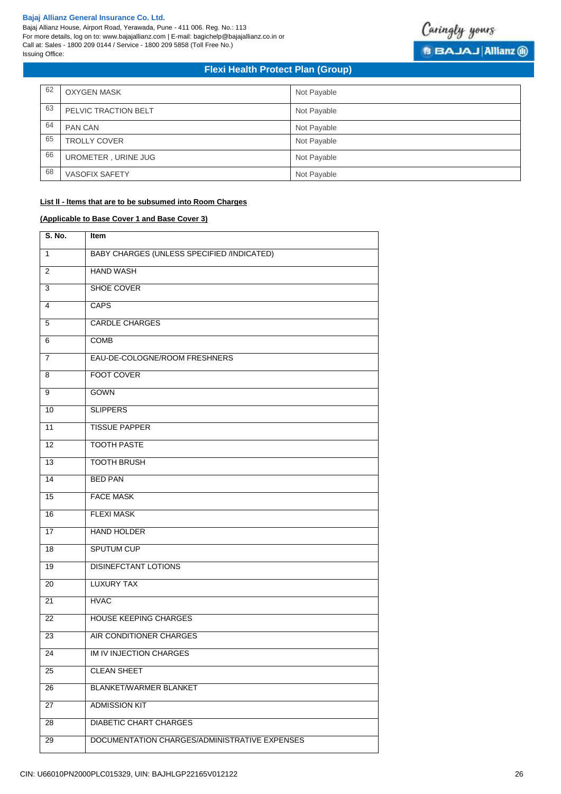Bajaj Allianz House, Airport Road, Yerawada, Pune - 411 006. Reg. No.: 113 For more details, log on to: www.bajajallianz.com | E-mail: bagichelp@bajajallianz.co.in or Call at: Sales - 1800 209 0144 / Service - 1800 209 5858 (Toll Free No.) Issuing Office:



# **Flexi Health Protect Plan (Group)**

| 62 | <b>OXYGEN MASK</b>    | Not Payable |
|----|-----------------------|-------------|
| 63 | PELVIC TRACTION BELT  | Not Payable |
| 64 | <b>PAN CAN</b>        | Not Payable |
| 65 | <b>TROLLY COVER</b>   | Not Payable |
| 66 | UROMETER, URINE JUG   | Not Payable |
| 68 | <b>VASOFIX SAFETY</b> | Not Payable |

# **List ll - ltems that are to be subsumed into Room Charges**

# **(Applicable to Base Cover 1 and Base Cover 3)**

| S. No.          | Item                                              |
|-----------------|---------------------------------------------------|
| 1               | <b>BABY CHARGES (UNLESS SPECIFIED /INDICATED)</b> |
| 2               | <b>HAND WASH</b>                                  |
| 3               | SHOE COVER                                        |
| $\overline{4}$  | <b>CAPS</b>                                       |
| 5               | <b>CARDLE CHARGES</b>                             |
| 6               | <b>COMB</b>                                       |
| $\overline{7}$  | EAU-DE-COLOGNE/ROOM FRESHNERS                     |
| 8               | <b>FOOT COVER</b>                                 |
| 9               | GOWN                                              |
| 10              | <b>SLIPPERS</b>                                   |
| 11              | <b>TISSUE PAPPER</b>                              |
| 12              | <b>TOOTH PASTE</b>                                |
| 13              | <b>TOOTH BRUSH</b>                                |
| 14              | <b>BED PAN</b>                                    |
| 15              | <b>FACE MASK</b>                                  |
| 16              | <b>FLEXI MASK</b>                                 |
| 17              | <b>HAND HOLDER</b>                                |
| 18              | <b>SPUTUM CUP</b>                                 |
| 19              | <b>DISINEFCTANT LOTIONS</b>                       |
| 20              | <b>LUXURY TAX</b>                                 |
| 21              | <b>HVAC</b>                                       |
| 22              | <b>HOUSE KEEPING CHARGES</b>                      |
| $\overline{23}$ | AIR CONDITIONER CHARGES                           |
| 24              | IM IV INJECTION CHARGES                           |
| 25              | <b>CLEAN SHEET</b>                                |
| 26              | <b>BLANKET/WARMER BLANKET</b>                     |
| 27              | <b>ADMISSION KIT</b>                              |
| 28              | <b>DIABETIC CHART CHARGES</b>                     |
| 29              | DOCUMENTATION CHARGES/ADMINISTRATIVE EXPENSES     |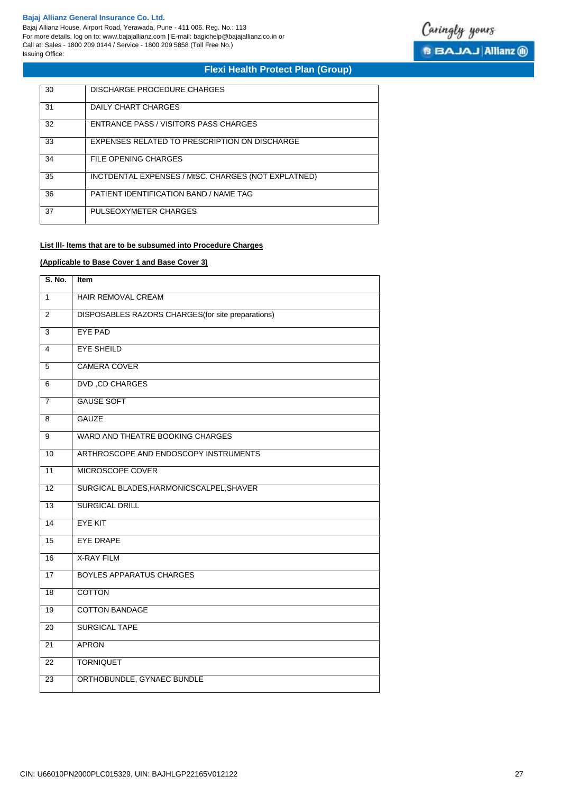Bajaj Allianz House, Airport Road, Yerawada, Pune - 411 006. Reg. No.: 113 For more details, log on to: www.bajajallianz.com | E-mail: bagichelp@bajajallianz.co.in or Call at: Sales - 1800 209 0144 / Service - 1800 209 5858 (Toll Free No.) Issuing Office:



# **Flexi Health Protect Plan (Group)**

| 30 | DISCHARGE PROCEDURE CHARGES                         |
|----|-----------------------------------------------------|
| 31 | DAILY CHART CHARGES                                 |
| 32 | ENTRANCE PASS / VISITORS PASS CHARGES               |
| 33 | EXPENSES RELATED TO PRESCRIPTION ON DISCHARGE       |
| 34 | FILE OPENING CHARGES                                |
| 35 | INCTDENTAL EXPENSES / MtSC. CHARGES (NOT EXPLATNED) |
| 36 | PATIENT IDENTIFICATION BAND / NAME TAG              |
| 37 | PULSEOXYMETER CHARGES                               |

# **List lll- ltems that are to be subsumed into Procedure Charges**

# **(Applicable to Base Cover 1 and Base Cover 3)**

| S. No.          | <b>Item</b>                                        |
|-----------------|----------------------------------------------------|
| $\mathbf{1}$    | <b>HAIR REMOVAL CREAM</b>                          |
| 2               | DISPOSABLES RAZORS CHARGES (for site preparations) |
| 3               | <b>EYE PAD</b>                                     |
| 4               | <b>EYE SHEILD</b>                                  |
| $\overline{5}$  | <b>CAMERA COVER</b>                                |
| 6               | <b>DVD, CD CHARGES</b>                             |
| $\overline{7}$  | <b>GAUSE SOFT</b>                                  |
| 8               | <b>GAUZE</b>                                       |
| 9               | WARD AND THEATRE BOOKING CHARGES                   |
| 10              | ARTHROSCOPE AND ENDOSCOPY INSTRUMENTS              |
| 11              | MICROSCOPE COVER                                   |
| 12              | SURGICAL BLADES, HARMONICSCALPEL, SHAVER           |
| 13              | <b>SURGICAL DRILL</b>                              |
| $\overline{14}$ | <b>EYE KIT</b>                                     |
| 15              | <b>EYE DRAPE</b>                                   |
| 16              | <b>X-RAY FILM</b>                                  |
| 17              | <b>BOYLES APPARATUS CHARGES</b>                    |
| 18              | <b>COTTON</b>                                      |
| $\overline{19}$ | <b>COTTON BANDAGE</b>                              |
| 20              | <b>SURGICAL TAPE</b>                               |
| $\overline{21}$ | <b>APRON</b>                                       |
| $\overline{22}$ | <b>TORNIQUET</b>                                   |
| $\overline{23}$ | ORTHOBUNDLE, GYNAEC BUNDLE                         |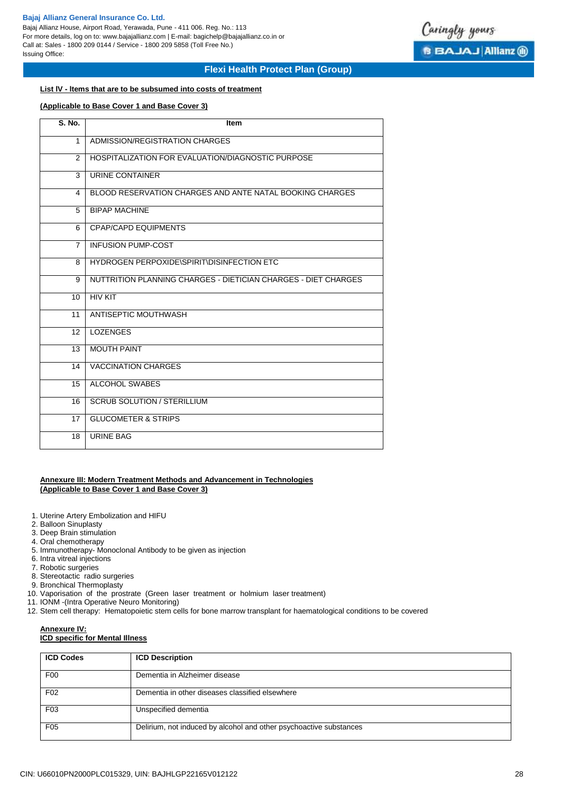Bajaj Allianz House, Airport Road, Yerawada, Pune - 411 006. Reg. No.: 113 For more details, log on to: www.bajajallianz.com | E-mail: bagichelp@bajajallianz.co.in or Call at: Sales - 1800 209 0144 / Service - 1800 209 5858 (Toll Free No.) Issuing Office:



# **Flexi Health Protect Plan (Group)**

# **List lV - ltems that are to be subsumed into costs of treatment**

# **(Applicable to Base Cover 1 and Base Cover 3)**

| $\overline{S}$ . No. | Item                                                           |
|----------------------|----------------------------------------------------------------|
| 1                    | ADMISSION/REGISTRATION CHARGES                                 |
| 2                    | HOSPITALIZATION FOR EVALUATION/DIAGNOSTIC PURPOSE              |
| 3                    | URINE CONTAINER                                                |
| 4                    | BLOOD RESERVATION CHARGES AND ANTE NATAL BOOKING CHARGES       |
| 5                    | <b>BIPAP MACHINE</b>                                           |
| 6                    | <b>CPAP/CAPD EQUIPMENTS</b>                                    |
| $\overline{7}$       | <b>INFUSION PUMP-COST</b>                                      |
| 8                    | HYDROGEN PERPOXIDE\SPIRIT\DISINFECTION ETC                     |
| 9                    | NUTTRITION PLANNING CHARGES - DIETICIAN CHARGES - DIET CHARGES |
| 10                   | <b>HIV KIT</b>                                                 |
| 11                   | ANTISEPTIC MOUTHWASH                                           |
| 12                   | <b>LOZENGES</b>                                                |
| 13                   | <b>MOUTH PAINT</b>                                             |
| 14                   | <b>VACCINATION CHARGES</b>                                     |
| 15                   | ALCOHOL SWABES                                                 |
| 16                   | <b>SCRUB SOLUTION / STERILLIUM</b>                             |
| 17                   | <b>GLUCOMETER &amp; STRIPS</b>                                 |
| 18                   | <b>URINE BAG</b>                                               |

# **Annexure III: Modern Treatment Methods and Advancement in Technologies (Applicable to Base Cover 1 and Base Cover 3)**

- 1. Uterine Artery Embolization and HIFU
- 2. Balloon Sinuplasty
- 3. Deep Brain stimulation
- 4. Oral chemotherapy
- 5. Immunotherapy- Monoclonal Antibody to be given as injection
- 6. Intra vitreal injections
- 7. Robotic surgeries
- 8. Stereotactic radio surgeries
- 9. Bronchical Thermoplasty
- 10. Vaporisation of the prostrate (Green laser treatment or holmium laser treatment)
- 11. IONM -(Intra Operative Neuro Monitoring)
- 12. Stem cell therapy: Hematopoietic stem cells for bone marrow transplant for haematological conditions to be covered

# **Annexure IV:**

# **ICD specific for Mental Illness**

| <b>ICD Codes</b> | <b>ICD Description</b>                                             |
|------------------|--------------------------------------------------------------------|
| F <sub>0</sub>   | Dementia in Alzheimer disease                                      |
| F <sub>02</sub>  | Dementia in other diseases classified elsewhere                    |
| F <sub>03</sub>  | Unspecified dementia                                               |
| F <sub>05</sub>  | Delirium, not induced by alcohol and other psychoactive substances |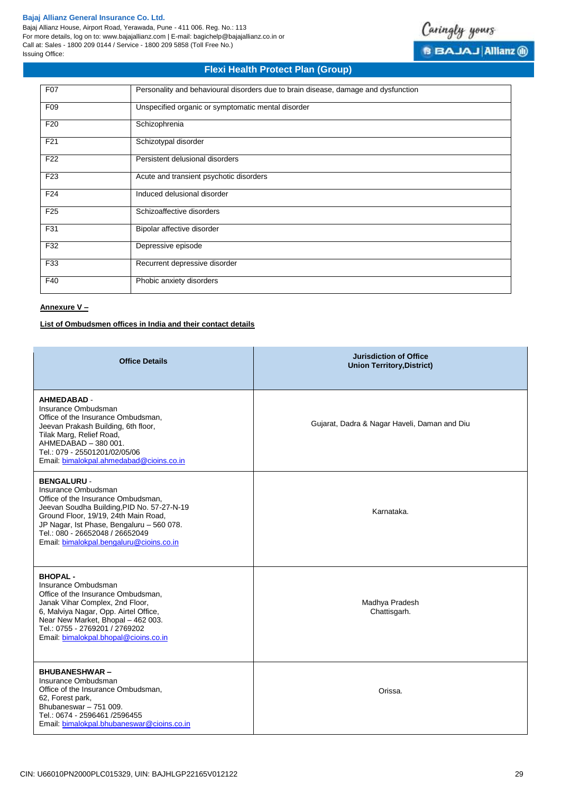Bajaj Allianz House, Airport Road, Yerawada, Pune - 411 006. Reg. No.: 113 For more details, log on to: www.bajajallianz.com | E-mail: bagichelp@bajajallianz.co.in or Call at: Sales - 1800 209 0144 / Service - 1800 209 5858 (Toll Free No.) Issuing Office:



# **Flexi Health Protect Plan (Group)**

| <b>F07</b>      | Personality and behavioural disorders due to brain disease, damage and dysfunction |
|-----------------|------------------------------------------------------------------------------------|
| F09             | Unspecified organic or symptomatic mental disorder                                 |
| F <sub>20</sub> | Schizophrenia                                                                      |
| F <sub>21</sub> | Schizotypal disorder                                                               |
| F <sub>22</sub> | Persistent delusional disorders                                                    |
| F <sub>23</sub> | Acute and transient psychotic disorders                                            |
| F24             | Induced delusional disorder                                                        |
| F <sub>25</sub> | Schizoaffective disorders                                                          |
| F31             | Bipolar affective disorder                                                         |
| F32             | Depressive episode                                                                 |
| F33             | Recurrent depressive disorder                                                      |
| F40             | Phobic anxiety disorders                                                           |

# **Annexure V –**

# **List of Ombudsmen offices in India and their contact details**

| <b>Office Details</b>                                                                                                                                                                                                                                                                             | <b>Jurisdiction of Office</b><br><b>Union Territory, District)</b> |
|---------------------------------------------------------------------------------------------------------------------------------------------------------------------------------------------------------------------------------------------------------------------------------------------------|--------------------------------------------------------------------|
| <b>AHMEDABAD -</b><br>Insurance Ombudsman<br>Office of the Insurance Ombudsman,<br>Jeevan Prakash Building, 6th floor,<br>Tilak Marg, Relief Road,<br>AHMEDABAD - 380 001.<br>Tel.: 079 - 25501201/02/05/06<br>Email: bimalokpal.ahmedabad@cioins.co.in                                           | Gujarat, Dadra & Nagar Haveli, Daman and Diu                       |
| <b>BENGALURU -</b><br>Insurance Ombudsman<br>Office of the Insurance Ombudsman,<br>Jeevan Soudha Building, PID No. 57-27-N-19<br>Ground Floor, 19/19, 24th Main Road,<br>JP Nagar, Ist Phase, Bengaluru - 560 078.<br>Tel.: 080 - 26652048 / 26652049<br>Email: bimalokpal.bengaluru@cioins.co.in | Karnataka.                                                         |
| <b>BHOPAL-</b><br>Insurance Ombudsman<br>Office of the Insurance Ombudsman,<br>Janak Vihar Complex, 2nd Floor,<br>6, Malviya Nagar, Opp. Airtel Office,<br>Near New Market, Bhopal - 462 003.<br>Tel.: 0755 - 2769201 / 2769202<br>Email: bimalokpal.bhopal@cioins.co.in                          | Madhya Pradesh<br>Chattisgarh.                                     |
| <b>BHUBANESHWAR-</b><br>Insurance Ombudsman<br>Office of the Insurance Ombudsman,<br>62, Forest park,<br>Bhubaneswar - 751 009.<br>Tel.: 0674 - 2596461 /2596455<br>Email: bimalokpal.bhubaneswar@cioins.co.in                                                                                    | Orissa.                                                            |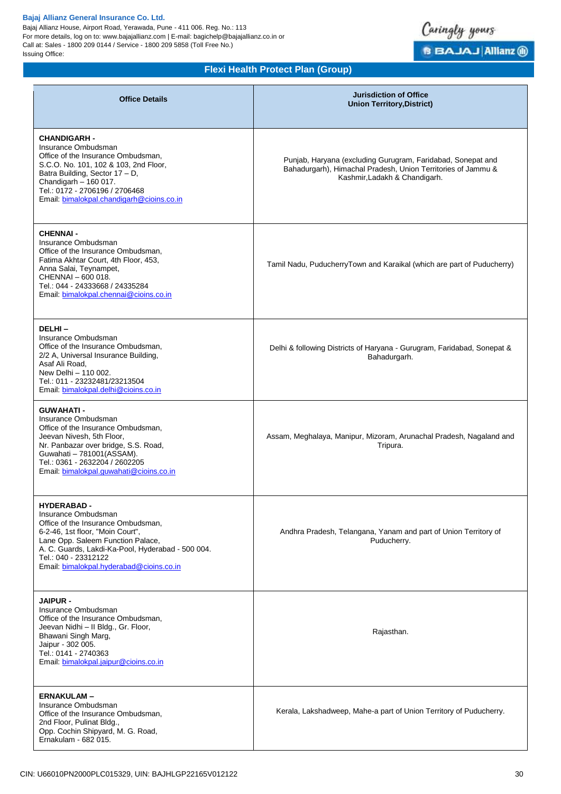Bajaj Allianz House, Airport Road, Yerawada, Pune - 411 006. Reg. No.: 113 For more details, log on to: www.bajajallianz.com | E-mail: bagichelp@bajajallianz.co.in or Call at: Sales - 1800 209 0144 / Service - 1800 209 5858 (Toll Free No.) Issuing Office:



| <b>Office Details</b>                                                                                                                                                                                                                                                            | <b>Jurisdiction of Office</b><br><b>Union Territory, District)</b>                                                                                           |
|----------------------------------------------------------------------------------------------------------------------------------------------------------------------------------------------------------------------------------------------------------------------------------|--------------------------------------------------------------------------------------------------------------------------------------------------------------|
| <b>CHANDIGARH -</b><br>Insurance Ombudsman<br>Office of the Insurance Ombudsman,<br>S.C.O. No. 101, 102 & 103, 2nd Floor,<br>Batra Building, Sector 17 - D,<br>Chandigarh $-160$ 017.<br>Tel.: 0172 - 2706196 / 2706468<br>Email: bimalokpal.chandigarh@cioins.co.in             | Punjab, Haryana (excluding Gurugram, Faridabad, Sonepat and<br>Bahadurgarh), Himachal Pradesh, Union Territories of Jammu &<br>Kashmir, Ladakh & Chandigarh. |
| <b>CHENNAI -</b><br>Insurance Ombudsman<br>Office of the Insurance Ombudsman,<br>Fatima Akhtar Court, 4th Floor, 453,<br>Anna Salai, Teynampet,<br>CHENNAI - 600 018.<br>Tel.: 044 - 24333668 / 24335284<br>Email: bimalokpal.chennai@cioins.co.in                               | Tamil Nadu, PuducherryTown and Karaikal (which are part of Puducherry)                                                                                       |
| DELHI-<br>Insurance Ombudsman<br>Office of the Insurance Ombudsman,<br>2/2 A, Universal Insurance Building,<br>Asaf Ali Road,<br>New Delhi - 110 002.<br>Tel.: 011 - 23232481/23213504<br>Email: bimalokpal.delhi@cioins.co.in                                                   | Delhi & following Districts of Haryana - Gurugram, Faridabad, Sonepat &<br>Bahadurgarh.                                                                      |
| <b>GUWAHATI-</b><br>Insurance Ombudsman<br>Office of the Insurance Ombudsman,<br>Jeevan Nivesh, 5th Floor,<br>Nr. Panbazar over bridge, S.S. Road,<br>Guwahati - 781001(ASSAM).<br>Tel.: 0361 - 2632204 / 2602205<br>Email: bimalokpal.quwahati@cioins.co.in                     | Assam, Meghalaya, Manipur, Mizoram, Arunachal Pradesh, Nagaland and<br>Tripura.                                                                              |
| <b>HYDERABAD-</b><br>Insurance Ombudsman<br>Office of the Insurance Ombudsman,<br>6-2-46, 1st floor, "Moin Court",<br>Lane Opp. Saleem Function Palace,<br>A. C. Guards, Lakdi-Ka-Pool, Hyderabad - 500 004.<br>Tel.: 040 - 23312122<br>Email: bimalokpal.hyderabad@cioins.co.in | Andhra Pradesh, Telangana, Yanam and part of Union Territory of<br>Puducherry.                                                                               |
| <b>JAIPUR -</b><br>Insurance Ombudsman<br>Office of the Insurance Ombudsman,<br>Jeevan Nidhi - Il Bldg., Gr. Floor,<br>Bhawani Singh Marg,<br>Jaipur - 302 005.<br>Tel.: 0141 - 2740363<br>Email: bimalokpal.jaipur@cioins.co.in                                                 | Rajasthan.                                                                                                                                                   |
| <b>ERNAKULAM-</b><br>Insurance Ombudsman<br>Office of the Insurance Ombudsman,<br>2nd Floor, Pulinat Bldg.,<br>Opp. Cochin Shipyard, M. G. Road,<br>Ernakulam - 682 015.                                                                                                         | Kerala, Lakshadweep, Mahe-a part of Union Territory of Puducherry.                                                                                           |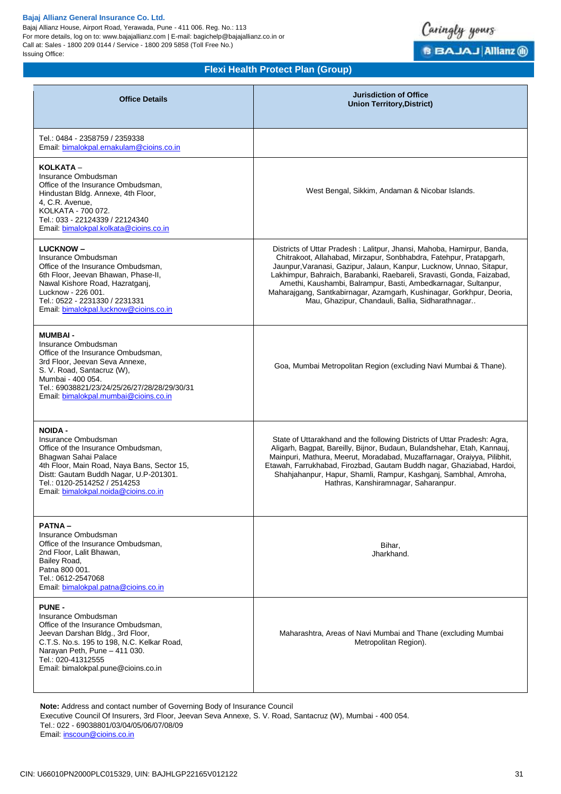Bajaj Allianz House, Airport Road, Yerawada, Pune - 411 006. Reg. No.: 113 For more details, log on to: www.bajajallianz.com | E-mail: bagichelp@bajajallianz.co.in or Call at: Sales - 1800 209 0144 / Service - 1800 209 5858 (Toll Free No.) Issuing Office:



# **Flexi Health Protect Plan (Group)**

| <b>Office Details</b>                                                                                                                                                                                                                                                | <b>Jurisdiction of Office</b><br><b>Union Territory, District)</b>                                                                                                                                                                                                                                                                                                                                                                                                                          |
|----------------------------------------------------------------------------------------------------------------------------------------------------------------------------------------------------------------------------------------------------------------------|---------------------------------------------------------------------------------------------------------------------------------------------------------------------------------------------------------------------------------------------------------------------------------------------------------------------------------------------------------------------------------------------------------------------------------------------------------------------------------------------|
| Tel.: 0484 - 2358759 / 2359338<br>Email: bimalokpal.ernakulam@cioins.co.in                                                                                                                                                                                           |                                                                                                                                                                                                                                                                                                                                                                                                                                                                                             |
| KOLKATA -<br>Insurance Ombudsman<br>Office of the Insurance Ombudsman.<br>Hindustan Bldg. Annexe, 4th Floor,<br>4, C.R. Avenue,<br>KOLKATA - 700 072.<br>Tel.: 033 - 22124339 / 22124340<br>Email: bimalokpal.kolkata@cioins.co.in                                   | West Bengal, Sikkim, Andaman & Nicobar Islands.                                                                                                                                                                                                                                                                                                                                                                                                                                             |
| <b>LUCKNOW-</b><br>Insurance Ombudsman<br>Office of the Insurance Ombudsman.<br>6th Floor, Jeevan Bhawan, Phase-II,<br>Nawal Kishore Road, Hazratganj,<br>Lucknow - 226 001.<br>Tel.: 0522 - 2231330 / 2231331<br>Email: bimalokpal.lucknow@cioins.co.in             | Districts of Uttar Pradesh: Lalitpur, Jhansi, Mahoba, Hamirpur, Banda,<br>Chitrakoot, Allahabad, Mirzapur, Sonbhabdra, Fatehpur, Pratapgarh,<br>Jaunpur, Varanasi, Gazipur, Jalaun, Kanpur, Lucknow, Unnao, Sitapur,<br>Lakhimpur, Bahraich, Barabanki, Raebareli, Sravasti, Gonda, Faizabad,<br>Amethi, Kaushambi, Balrampur, Basti, Ambedkarnagar, Sultanpur,<br>Maharajgang, Santkabirnagar, Azamgarh, Kushinagar, Gorkhpur, Deoria,<br>Mau, Ghazipur, Chandauli, Ballia, Sidharathnagar |
| <b>MUMBAI-</b><br>Insurance Ombudsman<br>Office of the Insurance Ombudsman.<br>3rd Floor, Jeevan Seva Annexe,<br>S. V. Road, Santacruz (W),<br>Mumbai - 400 054.<br>Tel.: 69038821/23/24/25/26/27/28/28/29/30/31<br>Email: bimalokpal.mumbai@cioins.co.in            | Goa, Mumbai Metropolitan Region (excluding Navi Mumbai & Thane).                                                                                                                                                                                                                                                                                                                                                                                                                            |
| <b>NOIDA -</b><br>Insurance Ombudsman<br>Office of the Insurance Ombudsman,<br>Bhagwan Sahai Palace<br>4th Floor, Main Road, Naya Bans, Sector 15,<br>Distt: Gautam Buddh Nagar, U.P-201301.<br>Tel.: 0120-2514252 / 2514253<br>Email: bimalokpal.noida@cioins.co.in | State of Uttarakhand and the following Districts of Uttar Pradesh: Agra,<br>Aligarh, Bagpat, Bareilly, Bijnor, Budaun, Bulandshehar, Etah, Kannauj,<br>Mainpuri, Mathura, Meerut, Moradabad, Muzaffarnagar, Oraiyya, Pilibhit,<br>Etawah, Farrukhabad, Firozbad, Gautam Buddh nagar, Ghaziabad, Hardoi,<br>Shahjahanpur, Hapur, Shamli, Rampur, Kashganj, Sambhal, Amroha,<br>Hathras, Kanshiramnagar, Saharanpur.                                                                          |
| <b>PATNA-</b><br>Insurance Ombudsman<br>Office of the Insurance Ombudsman,<br>2nd Floor, Lalit Bhawan,<br>Bailey Road,<br>Patna 800 001.<br>Tel.: 0612-2547068<br>Email: bimalokpal.patna@cioins.co.in                                                               | Bihar,<br>Jharkhand.                                                                                                                                                                                                                                                                                                                                                                                                                                                                        |
| <b>PUNE -</b><br>Insurance Ombudsman<br>Office of the Insurance Ombudsman,<br>Jeevan Darshan Bldg., 3rd Floor,<br>C.T.S. No.s. 195 to 198, N.C. Kelkar Road,<br>Narayan Peth, Pune - 411 030.<br>Tel.: 020-41312555<br>Email: bimalokpal.pune@cioins.co.in           | Maharashtra, Areas of Navi Mumbai and Thane (excluding Mumbai<br>Metropolitan Region).                                                                                                                                                                                                                                                                                                                                                                                                      |

**Note:** Address and contact number of Governing Body of Insurance Council

Executive Council Of Insurers, 3rd Floor, Jeevan Seva Annexe, S. V. Road, Santacruz (W), Mumbai - 400 054. Tel.: 022 - 69038801/03/04/05/06/07/08/09

Email: [inscoun@cioins.co.in](mailto:inscoun@cioins.co.in)